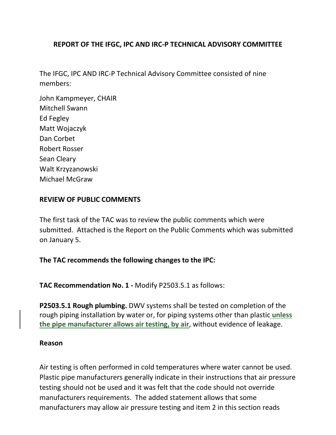## **REPORT OF THE IFGC, IPC AND IRC-P TECHNICAL ADVISORY COMMITTEE**

The IFGC, IPC AND IRC-P Technical Advisory Committee consisted of nine members:

John Kampmeyer, CHAIR Mitchell Swann Ed Fegley Matt Wojaczyk Dan Corbet Robert Rosser Sean Cleary Walt Krzyzanowski Michael McGraw

#### **REVIEW OF PUBLIC COMMENTS**

The first task of the TAC was to review the public comments which were submitted. Attached is the Report on the Public Comments which was submitted on January 5.

## **The TAC recommends the following changes to the IPC:**

**TAC Recommendation No. 1 -** Modify P2503.5.1 as follows:

**P2503.5.1 Rough plumbing.** DWV systems shall be tested on completion of the rough piping installation by water or, for piping systems other than plastic **unless the pipe manufacturer allows air testing, by air**, without evidence of leakage.

#### **Reason**

Air testing is often performed in cold temperatures where water cannot be used. Plastic pipe manufacturers generally indicate in their instructions that air pressure testing should not be used and it was felt that the code should not override manufacturers requirements. The added statement allows that some manufacturers may allow air pressure testing and item 2 in this section reads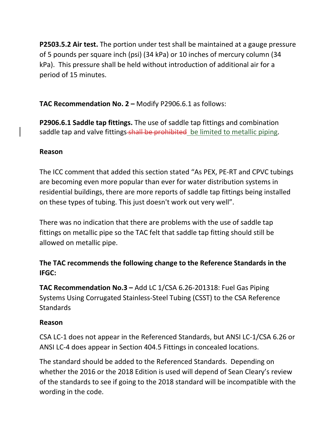**P2503.5.2 Air test.** The portion under test shall be maintained at a gauge pressure of 5 pounds per square inch (psi) (34 kPa) or 10 inches of mercury column (34 kPa). This pressure shall be held without introduction of additional air for a period of 15 minutes.

**TAC Recommendation No. 2 –** Modify P2906.6.1 as follows:

**P2906.6.1 Saddle tap fittings.** The use of saddle tap fittings and combination saddle tap and valve fittings-shall be prohibited be limited to metallic piping.

## **Reason**

The ICC comment that added this section stated "As PEX, PE-RT and CPVC tubings are becoming even more popular than ever for water distribution systems in residential buildings, there are more reports of saddle tap fittings being installed on these types of tubing. This just doesn't work out very well".

There was no indication that there are problems with the use of saddle tap fittings on metallic pipe so the TAC felt that saddle tap fitting should still be allowed on metallic pipe.

## **The TAC recommends the following change to the Reference Standards in the IFGC:**

**TAC Recommendation No.3 –** Add LC 1/CSA 6.26-201318: Fuel Gas Piping Systems Using Corrugated Stainless-Steel Tubing (CSST) to the CSA Reference **Standards** 

## **Reason**

CSA LC-1 does not appear in the Referenced Standards, but ANSI LC-1/CSA 6.26 or ANSI LC-4 does appear in Section 404.5 Fittings in concealed locations.

The standard should be added to the Referenced Standards. Depending on whether the 2016 or the 2018 Edition is used will depend of Sean Cleary's review of the standards to see if going to the 2018 standard will be incompatible with the wording in the code.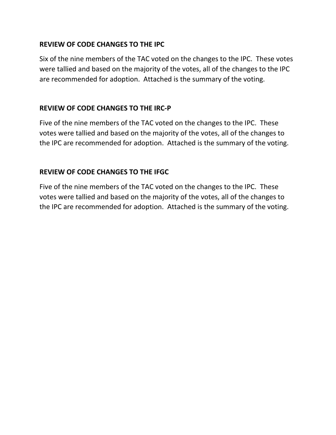## **REVIEW OF CODE CHANGES TO THE IPC**

Six of the nine members of the TAC voted on the changes to the IPC. These votes were tallied and based on the majority of the votes, all of the changes to the IPC are recommended for adoption. Attached is the summary of the voting.

## **REVIEW OF CODE CHANGES TO THE IRC-P**

Five of the nine members of the TAC voted on the changes to the IPC. These votes were tallied and based on the majority of the votes, all of the changes to the IPC are recommended for adoption. Attached is the summary of the voting.

## **REVIEW OF CODE CHANGES TO THE IFGC**

Five of the nine members of the TAC voted on the changes to the IPC. These votes were tallied and based on the majority of the votes, all of the changes to the IPC are recommended for adoption. Attached is the summary of the voting.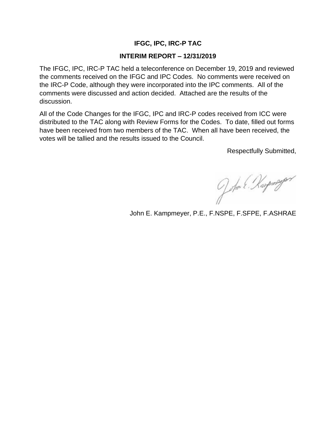#### **IFGC, IPC, IRC-P TAC**

#### **INTERIM REPORT – 12/31/2019**

The IFGC, IPC, IRC-P TAC held a teleconference on December 19, 2019 and reviewed the comments received on the IFGC and IPC Codes. No comments were received on the IRC-P Code, although they were incorporated into the IPC comments. All of the comments were discussed and action decided. Attached are the results of the discussion.

All of the Code Changes for the IFGC, IPC and IRC-P codes received from ICC were distributed to the TAC along with Review Forms for the Codes. To date, filled out forms have been received from two members of the TAC. When all have been received, the votes will be tallied and the results issued to the Council.

Respectfully Submitted,

John E. Karpmeyor

John E. Kampmeyer, P.E., F.NSPE, F.SFPE, F.ASHRAE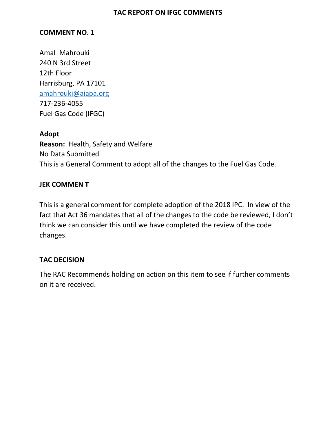#### **COMMENT NO. 1**

Amal Mahrouki 240 N 3rd Street 12th Floor Harrisburg, PA 17101 [amahrouki@aiapa.org](mailto:amahrouki@aiapa.org)  717-236-4055 Fuel Gas Code (IFGC)

#### **Adopt**

**Reason:** Health, Safety and Welfare No Data Submitted This is a General Comment to adopt all of the changes to the Fuel Gas Code.

#### **JEK COMMEN T**

This is a general comment for complete adoption of the 2018 IPC. In view of the fact that Act 36 mandates that all of the changes to the code be reviewed, I don't think we can consider this until we have completed the review of the code changes.

## **TAC DECISION**

The RAC Recommends holding on action on this item to see if further comments on it are received.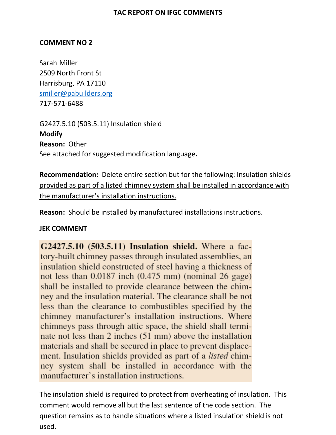#### **COMMENT NO 2**

Sarah Miller 2509 North Front St Harrisburg, PA 17110 [smiller@pabuilders.org](mailto:smiller@pabuilders.org)  717-571-6488

G2427.5.10 (503.5.11) Insulation shield **Modify Reason:** Other See attached for suggested modification language**.** 

**Recommendation:** Delete entire section but for the following: Insulation shields provided as part of a listed chimney system shall be installed in accordance with the manufacturer's installation instructions.

**Reason:** Should be installed by manufactured installations instructions.

#### **JEK COMMENT**

G2427.5.10 (503.5.11) Insulation shield. Where a factory-built chimney passes through insulated assemblies, an insulation shield constructed of steel having a thickness of not less than  $0.0187$  inch  $(0.475$  mm) (nominal 26 gage) shall be installed to provide clearance between the chimney and the insulation material. The clearance shall be not less than the clearance to combustibles specified by the chimney manufacturer's installation instructions. Where chimneys pass through attic space, the shield shall terminate not less than 2 inches (51 mm) above the installation materials and shall be secured in place to prevent displacement. Insulation shields provided as part of a *listed* chimney system shall be installed in accordance with the manufacturer's installation instructions.

The insulation shield is required to protect from overheating of insulation. This comment would remove all but the last sentence of the code section. The question remains as to handle situations where a listed insulation shield is not used.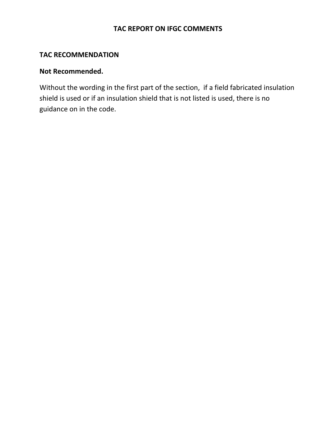#### **TAC RECOMMENDATION**

## **Not Recommended.**

Without the wording in the first part of the section, if a field fabricated insulation shield is used or if an insulation shield that is not listed is used, there is no guidance on in the code.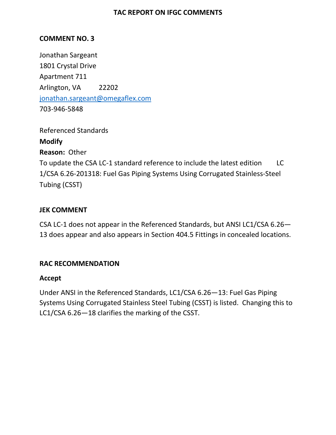## **COMMENT NO. 3**

Jonathan Sargeant 1801 Crystal Drive Apartment 711 Arlington, VA 22202 [jonathan.sargeant@omegaflex.com](mailto:jonathan.sargeant@omegaflex.com)  703-946-5848

Referenced Standards **Modify Reason:** Other To update the CSA LC-1 standard reference to include the latest edition LC 1/CSA 6.26-201318: Fuel Gas Piping Systems Using Corrugated Stainless-Steel Tubing (CSST)

#### **JEK COMMENT**

CSA LC-1 does not appear in the Referenced Standards, but ANSI LC1/CSA 6.26— 13 does appear and also appears in Section 404.5 Fittings in concealed locations.

#### **RAC RECOMMENDATION**

#### **Accept**

Under ANSI in the Referenced Standards, LC1/CSA 6.26—13: Fuel Gas Piping Systems Using Corrugated Stainless Steel Tubing (CSST) is listed. Changing this to LC1/CSA 6.26—18 clarifies the marking of the CSST.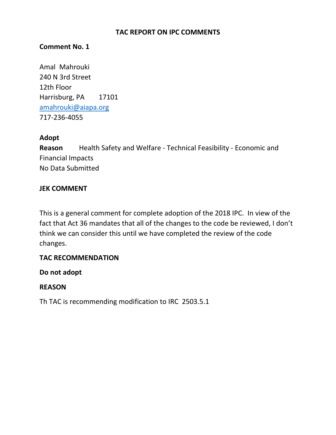## **Comment No. 1**

Amal Mahrouki 240 N 3rd Street 12th Floor Harrisburg, PA 17101 [amahrouki@aiapa.org](mailto:amahrouki@aiapa.org)  717-236-4055

#### **Adopt**

**Reason** Health Safety and Welfare - Technical Feasibility - Economic and Financial Impacts No Data Submitted

## **JEK COMMENT**

This is a general comment for complete adoption of the 2018 IPC. In view of the fact that Act 36 mandates that all of the changes to the code be reviewed, I don't think we can consider this until we have completed the review of the code changes.

## **TAC RECOMMENDATION**

**Do not adopt**

## **REASON**

Th TAC is recommending modification to IRC 2503.5.1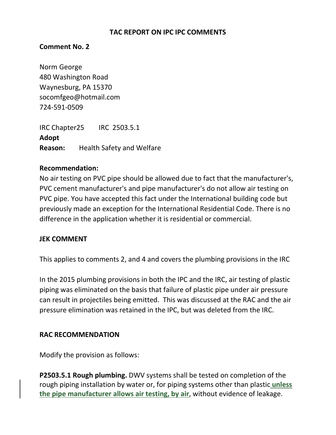### **TAC REPORT ON IPC IPC COMMENTS**

## **Comment No. 2**

Norm George 480 Washington Road Waynesburg, PA 15370 socomfgeo@hotmail.com 724-591-0509

IRC Chapter25 IRC 2503.5.1 **Adopt Reason:** Health Safety and Welfare

#### **Recommendation:**

No air testing on PVC pipe should be allowed due to fact that the manufacturer's, PVC cement manufacturer's and pipe manufacturer's do not allow air testing on PVC pipe. You have accepted this fact under the International building code but previously made an exception for the International Residential Code. There is no difference in the application whether it is residential or commercial.

#### **JEK COMMENT**

This applies to comments 2, and 4 and covers the plumbing provisions in the IRC

In the 2015 plumbing provisions in both the IPC and the IRC, air testing of plastic piping was eliminated on the basis that failure of plastic pipe under air pressure can result in projectiles being emitted. This was discussed at the RAC and the air pressure elimination was retained in the IPC, but was deleted from the IRC.

#### **RAC RECOMMENDATION**

Modify the provision as follows:

**P2503.5.1 Rough plumbing.** DWV systems shall be tested on completion of the rough piping installation by water or, for piping systems other than plastic **unless the pipe manufacturer allows air testing, by air**, without evidence of leakage.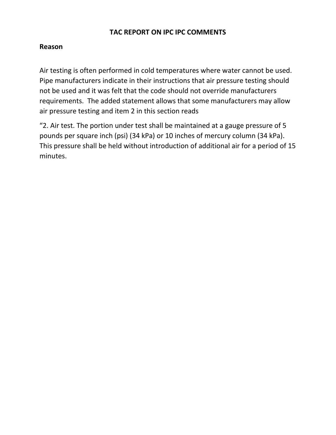## **TAC REPORT ON IPC IPC COMMENTS**

## **Reason**

Air testing is often performed in cold temperatures where water cannot be used. Pipe manufacturers indicate in their instructions that air pressure testing should not be used and it was felt that the code should not override manufacturers requirements. The added statement allows that some manufacturers may allow air pressure testing and item 2 in this section reads

"2. Air test. The portion under test shall be maintained at a gauge pressure of 5 pounds per square inch (psi) (34 kPa) or 10 inches of mercury column (34 kPa). This pressure shall be held without introduction of additional air for a period of 15 minutes.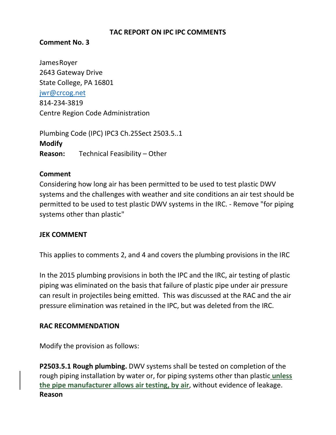### **TAC REPORT ON IPC IPC COMMENTS**

#### **Comment No. 3**

JamesRoyer 2643 Gateway Drive State College, PA 16801 [jwr@crcog.net](mailto:jwr@crcog.net)  814-234-3819 Centre Region Code Administration

Plumbing Code (IPC) IPC3 Ch.25Sect 2503.5..1 **Modify Reason:** Technical Feasibility – Other

#### **Comment**

Considering how long air has been permitted to be used to test plastic DWV systems and the challenges with weather and site conditions an air test should be permitted to be used to test plastic DWV systems in the IRC. - Remove "for piping systems other than plastic"

## **JEK COMMENT**

This applies to comments 2, and 4 and covers the plumbing provisions in the IRC

In the 2015 plumbing provisions in both the IPC and the IRC, air testing of plastic piping was eliminated on the basis that failure of plastic pipe under air pressure can result in projectiles being emitted. This was discussed at the RAC and the air pressure elimination was retained in the IPC, but was deleted from the IRC.

## **RAC RECOMMENDATION**

Modify the provision as follows:

**P2503.5.1 Rough plumbing.** DWV systems shall be tested on completion of the rough piping installation by water or, for piping systems other than plastic **unless the pipe manufacturer allows air testing, by air**, without evidence of leakage. **Reason**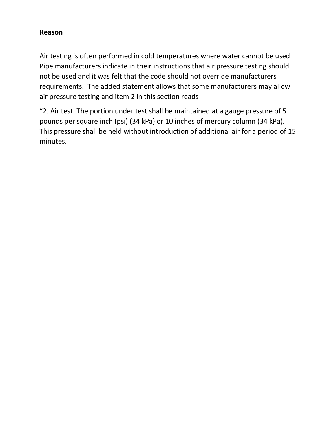### **Reason**

Air testing is often performed in cold temperatures where water cannot be used. Pipe manufacturers indicate in their instructions that air pressure testing should not be used and it was felt that the code should not override manufacturers requirements. The added statement allows that some manufacturers may allow air pressure testing and item 2 in this section reads

"2. Air test. The portion under test shall be maintained at a gauge pressure of 5 pounds per square inch (psi) (34 kPa) or 10 inches of mercury column (34 kPa). This pressure shall be held without introduction of additional air for a period of 15 minutes.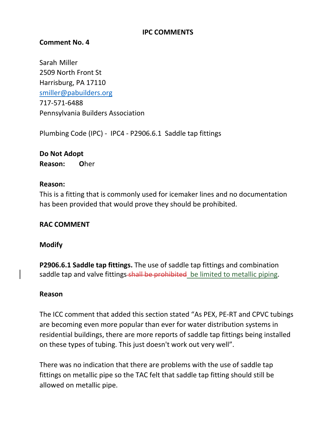#### **IPC COMMENTS**

### **Comment No. 4**

Sarah Miller 2509 North Front St Harrisburg, PA 17110 [smiller@pabuilders.org](mailto:smiller@pabuilders.org)  717-571-6488 Pennsylvania Builders Association

Plumbing Code (IPC) - IPC4 - P2906.6.1 Saddle tap fittings

## **Do Not Adopt Reason: O**her

#### **Reason:**

This is a fitting that is commonly used for icemaker lines and no documentation has been provided that would prove they should be prohibited.

#### **RAC COMMENT**

#### **Modify**

**P2906.6.1 Saddle tap fittings.** The use of saddle tap fittings and combination saddle tap and valve fittings-shall be prohibited be limited to metallic piping.

#### **Reason**

The ICC comment that added this section stated "As PEX, PE-RT and CPVC tubings are becoming even more popular than ever for water distribution systems in residential buildings, there are more reports of saddle tap fittings being installed on these types of tubing. This just doesn't work out very well".

There was no indication that there are problems with the use of saddle tap fittings on metallic pipe so the TAC felt that saddle tap fitting should still be allowed on metallic pipe.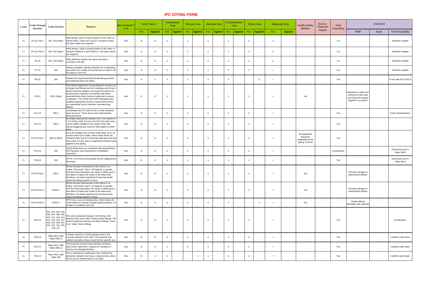| <b>I-Code</b> | Code Change<br><b>Number</b> | <b>Code Section</b>               | <b>Reason:</b>                                                                                                                                                                                                                                                                                                                                                                                                                                  | <b>Recommend</b><br>or N |            | <b>VOTE TALLY</b> |     | Kampmeyer<br><b>Vote</b> | <b>Rosser Vote</b>    | <b>McGraw Vote</b>           |     | Krzyzanowski<br><b>Vote</b> |                | <b>Cleary Vote</b> |     | <b>Wojaczyk Vote</b> | <b>Health Safety</b><br><b>Welfare</b>                            | Econ &<br><b>Financial</b> | <b>Tech</b><br><b>Feasibility</b> |                                                                                                  | <b>Comment</b> |                                  |
|---------------|------------------------------|-----------------------------------|-------------------------------------------------------------------------------------------------------------------------------------------------------------------------------------------------------------------------------------------------------------------------------------------------------------------------------------------------------------------------------------------------------------------------------------------------|--------------------------|------------|-------------------|-----|--------------------------|-----------------------|------------------------------|-----|-----------------------------|----------------|--------------------|-----|----------------------|-------------------------------------------------------------------|----------------------------|-----------------------------------|--------------------------------------------------------------------------------------------------|----------------|----------------------------------|
|               |                              |                                   |                                                                                                                                                                                                                                                                                                                                                                                                                                                 |                          | <b>For</b> | <b>Against</b>    | For | <b>Against</b>           | Against<br>$For \,  $ | <b>For</b><br><b>Against</b> | For | <b>Against</b>              | For            | Against            | For | <b>Against</b>       |                                                                   | Impact                     |                                   | <b>HSW</b>                                                                                       | Econ           | <b>Tech Feasibility</b>          |
| <b>IPC</b>    | P3-15, Part I                | IPC: 202 (New)                    | Adds phrase used in various places in the code. In<br>Section 606.1, there are a list of 7 locations where<br>full-open valves are required                                                                                                                                                                                                                                                                                                     | Yes                      |            |                   |     |                          |                       |                              |     |                             | $\overline{1}$ |                    |     |                      |                                                                   |                            | Yes                               |                                                                                                  |                | <b>Definition Update</b>         |
| <b>IPC</b>    | P3-15, Part II               |                                   | Adds phrase used in several places in the code. In<br>IRC: 202 (New) Sections P2903.9.1 and P2903.9.2, full-open valves  <br>are required.                                                                                                                                                                                                                                                                                                      | <b>Yes</b>               |            |                   |     |                          |                       |                              |     |                             | $\overline{1}$ |                    |     |                      |                                                                   |                            | Yes                               |                                                                                                  |                | <b>Definition Update</b>         |
| <b>IPC</b>    | P6-15                        | IRC: 202 (New)                    | Adds definition which is the same one that is<br>currently in the IMC                                                                                                                                                                                                                                                                                                                                                                           | Yes                      |            |                   |     |                          |                       |                              |     |                             | $\overline{1}$ |                    |     |                      |                                                                   |                            | Yes                               |                                                                                                  |                | <b>Definition Update</b>         |
| <b>IPC</b>    | P7-15                        | 202                               | Deletes uneeded specific definition for a swimming<br>pool within the context of how the term is used in the<br>few places in the IPC.                                                                                                                                                                                                                                                                                                          | <b>Yes</b>               |            |                   |     |                          |                       |                              |     |                             |                |                    |     |                      |                                                                   |                            | Yes                               |                                                                                                  |                | <b>Definition Update</b>         |
| <b>IPC</b>    | P8-15                        | 303                               | Deletes the requirement that all plumbing products<br>and materials had to be listed.                                                                                                                                                                                                                                                                                                                                                           | Yes                      |            |                   |     |                          |                       |                              |     |                             |                |                    |     |                      |                                                                   |                            | Yes                               |                                                                                                  |                | In line with IFCG 401.9          |
| <b>IPC</b>    | P9-15                        | 303.5 (New)                       | Third Party inspections of manufacturers of cast iron  <br>soil pipes and fittings and the couplings used to join<br>theses products together are required however not<br>all third party inspectors are familiar with these<br>essential items which must be inspected to assure<br>compliance. The ASTM and CISPI standards were<br>modified adding the minimum requirements which<br>are reasonable and to minimize manufacturing<br>defects | Yes                      |            |                   |     |                          |                       |                              |     |                             |                |                    |     |                      | Yes                                                               |                            |                                   | Important to make sure<br>using the proper pipe<br>and required coupling<br>together in a system |                |                                  |
|               | P11-15                       | 305.1                             | Coordinates the IPC with he IRC so that confusion<br>does not occur. There are no new requirements<br>being proposed.                                                                                                                                                                                                                                                                                                                           | Yes                      |            |                   |     |                          |                       |                              |     |                             | $\overline{1}$ |                    |     |                      |                                                                   |                            | Yes                               |                                                                                                  |                | Code Coordinatiopm               |
| <b>IPC</b>    | P12-15                       | 305.6                             | By simply reducing the setback from 1-1/2 inches to<br>1-1/4 inches, both 1/2-inch and 3/4-inch water lines<br>can be safely installed in the center of the wall<br>without triggering the need for strike plates on both                                                                                                                                                                                                                       | Yes                      |            |                   |     |                          |                       |                              |     |                             | $\overline{1}$ |                    |     |                      |                                                                   |                            | Yes                               |                                                                                                  |                |                                  |
| <b>IPC</b>    | P15-15 Part I                | 308.10 (New)                      | Even the smallest size of tank could weigh up to 16<br>pounds when full of water. where these tanks are<br>$\vert$ installed at the end of a horizontal rigid pipe from the $\vert$<br>side outlet of a tee, there is significant moment being<br>applied to the piping.                                                                                                                                                                        | Yes                      |            |                   |     |                          |                       |                              |     |                             |                |                    |     |                      | No equipment<br>should be<br>supported by the<br>piping it serves |                            | Yes                               |                                                                                                  |                |                                  |
| <b>IPC</b>    | P16-15                       | 309                               | These dimensions are consistent with all published<br><b>PEX</b> literature and manufacture's installation<br>linstruction                                                                                                                                                                                                                                                                                                                      | Yes                      |            |                   |     |                          |                       |                              |     |                             |                |                    |     |                      |                                                                   |                            | Coordination                      |                                                                                                  |                | Dimensions are in<br>Table 308.5 |
|               | P18-15                       | 309                               | PE-RT 1-1/4 inches and greater can be supported at<br>$48$ inches                                                                                                                                                                                                                                                                                                                                                                               | Yes                      |            |                   |     |                          |                       |                              |     |                             | $\overline{1}$ |                    |     |                      |                                                                   |                            | Yes                               |                                                                                                  |                | Dimensions are in<br>Table 308.5 |
| <b>IPC</b>    | P19-15 Part I                | 308.6                             | Where the pipe downstream of the elbow is no<br>longer "horizontal", that is, 45 degrees or greater<br>from the horizontal plane, the waste is falling and is<br>less likely to impact the inside of the elbow and<br>therefore, not impart significant forces that would<br>cause the piping system to move                                                                                                                                    | Yes                      |            |                   |     |                          |                       |                              |     |                             | $\overline{1}$ |                    |     |                      | Yes                                                               |                            |                                   | Prevents damage to<br>downstream elbows                                                          |                |                                  |
| <b>IPC</b>    | P19-15 Part II               | P2605.1                           | Where the pipe downstream of the elbow is no<br>longer "horizontal", that is, 45 degrees or greater<br>from the horizontal plane, the waste is falling and is<br>less likely to impact the inside of the elbow and<br>therefore, not impart significant forces that would<br>cause the piping system to move                                                                                                                                    | Yes                      |            |                   |     |                          |                       |                              |     |                             | $\overline{1}$ |                    |     |                      | Yes                                                               |                            |                                   | Prevents damage to<br>downstream elbows                                                          |                |                                  |
| <b>IPC</b>    | P20-15 Part II               | P2503.7                           | PPFA has a new air testing policy, which allows for<br>some limited air testing of plastic piping systems, if a<br>number of conditions are met                                                                                                                                                                                                                                                                                                 | Yes                      |            |                   |     |                          |                       |                              |     |                             |                |                    |     |                      | Yes                                                               |                            |                                   | <b>Clearly defines</b><br>allowable safe methods                                                 |                |                                  |
| <b>IPC</b>    | P26-15                       | 401, 402, 403, 404,<br>426, 427   | 405, 407, 408, 409,<br>410, 411, 412, 413,<br>414, 415, 416, 417,<br>418, 419, 420, 421,<br>$\begin{bmatrix} 1 & 0 & 0 \\ 0 & 1 & 0 \\ 0 & 0 & 1 \end{bmatrix}$ section addresses faucets and fixture fittings. There<br>418, 419, 420, 421,<br>$\begin{bmatrix} 1 & 0 & 0 \\ 0 & 0 & 1 \end$<br>$\left  \right. 422, 423, 424, 425,$ is no "other" fixture fittings.                                                                           | Yes                      |            |                   |     |                          |                       |                              |     |                             | $\overline{1}$ |                    |     |                      |                                                                   |                            | Yes                               |                                                                                                  |                | Coordination                     |
| <b>IPC</b>    | P30-15                       | Table 403.1 (IBC<br>Table 2902.1) | A fixture count for a casino gaming area is not<br>currently defined in the code. This proposal was<br>added to provide a fixture count for this specific use                                                                                                                                                                                                                                                                                   | Yes                      |            |                   |     |                          |                       |                              |     |                             | $\overline{1}$ |                    |     |                      |                                                                   |                            | Yes                               |                                                                                                  |                | Clarifies code intent            |
|               | P33-15                       | Table 403.1 (IBC<br>Table 2902.1) | This proposal resolves long standing confusion<br>about what Table 403.1 requires for Showers in<br><b>Factory and Storage facilities.</b>                                                                                                                                                                                                                                                                                                      | Yes                      |            |                   |     |                          |                       |                              |     |                             | $\overline{1}$ |                    |     |                      |                                                                   |                            | Yes                               |                                                                                                  |                | Clarifies code intent            |
| <b>IPC</b>    | P34-15                       | Table 403.1 (IBC<br>Table 290     | This is intended as clarification only. Without the<br>distinction between the Group I requirements, which  <br>row to use for requirements is not clear.                                                                                                                                                                                                                                                                                       | Yes                      |            |                   |     |                          |                       |                              |     |                             |                |                    |     |                      |                                                                   |                            | Yes                               |                                                                                                  |                | Clarifies code intent            |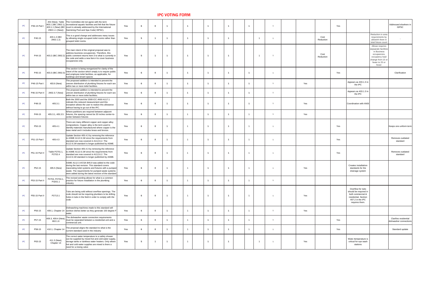| <b>IPC</b> | P36-15 Part I  |                            | 202 (New), Table   The Committee did not agree with the term<br>$ 403.1$ (IBC 2902.1), recreational aquatic facilities and felt that the fixture<br>$\vert$ 403.1.1 (New) (IBC count is already addressed by the International<br>2902.1.1 (New)) Swimming Pool and Spa Code( ISPSC). | Yes        |  |                |                      |                | $\overline{1}$ |  |     |                   | Yes |                                                                                                                               | Addressed elswhere in<br><b>ISPSC</b>                                                                                                    |
|------------|----------------|----------------------------|---------------------------------------------------------------------------------------------------------------------------------------------------------------------------------------------------------------------------------------------------------------------------------------|------------|--|----------------|----------------------|----------------|----------------|--|-----|-------------------|-----|-------------------------------------------------------------------------------------------------------------------------------|------------------------------------------------------------------------------------------------------------------------------------------|
|            | P40-15         | 403.1.2 (IBC<br>2902.1.2)  | This is a good change and addresses many issues<br>by allowing single occupant toilet rooms rather than<br>grouped toilet rooms.                                                                                                                                                      | Yes        |  |                | $\mathbf{1}$         |                |                |  |     | Cost<br>Reduction |     |                                                                                                                               | Reduction in area<br>requirements by<br>allowinh them in<br>total fixture count                                                          |
|            | P44-15         |                            | The main intent of the original proposal was to<br>address business occupancies. Therefore, this<br>  403.2 (IBC 2902.2)   public comment returns Item 3 to what is currently in  <br>the code and adds a new Item 4 to cover business<br>occupancies only.                           | Yes        |  |                | $\overline{1}$       |                |                |  |     | Cost<br>Reduction |     |                                                                                                                               | Allows requires<br>sepaarate facilities<br>in Business<br>occupancies,<br>occupancy load<br>change from 15 or<br>fewer to 25 or<br>fewer |
|            | P45-15         |                            | This section is being reorganized for clarity of the<br> intent of the section which simply is to require public  <br>$\vert$ 403.3 (IBC 2902.3) $\vert$ <sup>1116111</sup> or the essence construction of the set of applicable, for<br>buildings and tenant spaces                  | Yes        |  |                |                      |                | $\overline{1}$ |  |     |                   | Yes |                                                                                                                               | Clarification                                                                                                                            |
|            | P46-15 Part I  | 403.6 (New)                | The proposed addition is intended to prevent the<br>uneven distribution of plumbing fixtures for each sex  <br>within two or more toilet facilities.                                                                                                                                  | <b>Yes</b> |  |                | $\blacktriangleleft$ |                | $\overline{1}$ |  | Yes |                   |     | Appears as 403.1.3 in<br>the IPC                                                                                              |                                                                                                                                          |
| <b>IPC</b> | P46-15 Part II |                            | The proposed addition is intended to prevent the<br>2902.3.7 (New) $ $ uneven distribution of plumbing fixtures for each sex  <br>within two or more toilet facilities.                                                                                                               | <b>Yes</b> |  |                |                      |                |                |  |     |                   |     | Appears as 403.1.3 in<br>the IPC                                                                                              |                                                                                                                                          |
|            | P48-15         | 405.3.1                    | Both the 2003 and the 2009 ICC ANSI A117.1<br>lindicate this reduced measurement and this<br>exception allows the user to realize this allowance<br>without having to go out of the IPC.                                                                                              | <b>Yes</b> |  |                | $\overline{1}$       |                |                |  | Yes |                   |     | Coordination with ANSI                                                                                                        |                                                                                                                                          |
|            | P49-15         |                            | Where partitions are required between adjacent<br>405.3.1, 405.3.5 fixtures, the spacing cannot be 30 inches center-to-<br>center between fixtures                                                                                                                                    | Yes        |  |                |                      |                |                |  | Yes |                   |     |                                                                                                                               |                                                                                                                                          |
|            | P50-15         | 405.4.1                    | There are many different copper and copper-alloy<br>compositions. Copper alloy is the term used to<br>didentify materials manufactured where copper is the<br>base metal and it includes brass and bronze.                                                                            | <b>Yes</b> |  |                |                      | $\overline{A}$ |                |  |     |                   | Yes |                                                                                                                               | Keeps one uniform term                                                                                                                   |
| <b>IPC</b> | P51-15 Part I  | 405.4.3                    | Update Section 405.4.3 by removing the reference<br>to ASME A112.6.1M since the requirements from<br>standard are now covered in A112.6.2. The<br>A112.6.1M standard is longer published by ASME.                                                                                     | Yes        |  |                |                      |                |                |  |     |                   | Yes |                                                                                                                               | Removes outdated<br>standard                                                                                                             |
| <b>IPC</b> | P51-15 Part II | Table P2701.1,<br>P2702.4  | Update Section 405.4.3 by removing the reference<br>to ASME A112.6.1M since the requirements from<br>standard are now covered in A112.6.2. The<br>A112.6.1M standard is longer published by ASME.                                                                                     | <b>Yes</b> |  |                |                      |                |                |  |     |                   | Yes |                                                                                                                               | Removes outdated<br>standard                                                                                                             |
|            | P52-15         | 405.5 (New)                | ASME A112.3.4/CSA B45.9 was added to the code<br>during the last revision. This standard covers<br>  macerating toilet systems and fixtures with a pumped<br> waste. The requirements for pumped waste systems  <br>were added during the latest revision of the standard             | Yes        |  | $\overline{1}$ | $\overline{1}$       | $\overline{A}$ |                |  | Yes |                   |     | <b>Creates installatiion</b><br>standards for the<br>drainage system                                                          |                                                                                                                                          |
| <b>IPC</b> | P53-15 Part II | P2704, P2704.1,<br>P3201.1 | The revised wording allows for what is a common<br>practice for fixture installation in the plumbing<br>industry                                                                                                                                                                      | Yes        |  |                | $\overline{1}$       | $\overline{A}$ |                |  |     |                   |     |                                                                                                                               |                                                                                                                                          |
| <b>IPC</b> | P55-15 Part II | P2713.1                    | Tubs are being sold without overflow openings. The<br>code should not be requiring plumbers to be drilling<br>holes in tubs in the field in order to comply with the<br> code                                                                                                         | Yes        |  |                |                      | $\overline{A}$ | $\overline{1}$ |  | Yes |                   |     | Overflow for tubs<br>should be required in<br>both commercial &<br>residential. Section<br>407.2 in the IPC<br>requires them. |                                                                                                                                          |
|            | P56-15         |                            | Dishwashing machines made to this standard will<br>409.1, Chapter 14 Sanitize dishes better as they generate 150 degree $F$                                                                                                                                                           | Yes        |  |                |                      |                |                |  | Yes |                   |     |                                                                                                                               |                                                                                                                                          |
|            | P57-15         | 802.1.6                    | $\vert$ 409.3, 409.4 (New), The dishwasher waste connection requirements<br>must be separated between a residential unit and a<br>commercial unit.                                                                                                                                    | Yes        |  |                | $\overline{1}$       |                |                |  |     |                   | Yes |                                                                                                                               | <b>Clarifies residential</b><br>dishwasher connections                                                                                   |
| <b>IPC</b> | P58-15         |                            | $\vert$ 410.1, Chapter 14 $\vert$ The proposal aligns the standard to what is the<br>current standard used in the industry                                                                                                                                                            | Yes        |  |                | $\overline{1}$       |                |                |  |     |                   | Yes |                                                                                                                               | Standard update                                                                                                                          |
|            | P63-15         | 411.3 (New),<br>Chapter 14 | The correct water temperature to a safety shower<br>can be supplied by mixed hot and cold water supply,<br>storage tanks or tankless water heaters. Only where<br>hot and cold water supplies are mixed is there a<br>need for a mixing valve                                         | Yes        |  | $\overline{1}$ | $\overline{1}$       |                |                |  | Yes |                   |     | Wate rtemperature is<br>critical for eye wash<br>stations                                                                     |                                                                                                                                          |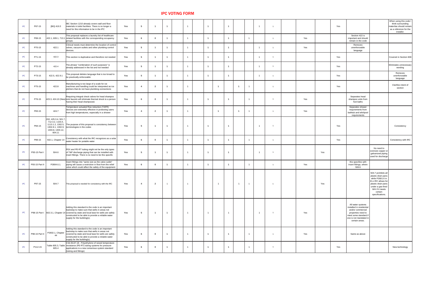| <b>IPC</b> | P67-15         | [BG] 419.3                                                             | <b>IBC Section 1210 already covers wall and floor</b><br>materials in toilet facilities. There is no longer a<br>need for this information to be in the IPC                                                                                                                               | Yes        |  | $\overline{1}$ | $\overline{1}$ |                         |  |  |  |     | Yes                                                                                                                                                                             | When using this code I<br>think surrounding<br>materilas should remain<br>as a reference for the<br>installer. |
|------------|----------------|------------------------------------------------------------------------|-------------------------------------------------------------------------------------------------------------------------------------------------------------------------------------------------------------------------------------------------------------------------------------------|------------|--|----------------|----------------|-------------------------|--|--|--|-----|---------------------------------------------------------------------------------------------------------------------------------------------------------------------------------|----------------------------------------------------------------------------------------------------------------|
| <b>IPC</b> | P69-15         |                                                                        | This proposal replaces a laundry list of healthcare<br>422.1, 609.1, 713.1 related facilities with the corresponding occupancy<br>groups.                                                                                                                                                 | <b>Yes</b> |  |                | $\overline{1}$ |                         |  |  |  | Yes | Section 422 is<br>important and should<br>remain in the code                                                                                                                    |                                                                                                                |
| <b>IPC</b> | P70-15         | 422.1                                                                  | Clinical needs must determine the location of control<br>valves, vacuum outlets and other plumbing control<br>devices.                                                                                                                                                                    | <b>Yes</b> |  |                |                |                         |  |  |  | Yes | Removes<br>unenforceable<br>language                                                                                                                                            |                                                                                                                |
| <b>IPC</b> | P71-15         | 422.3                                                                  | This section is duplicative and therefore not needed                                                                                                                                                                                                                                      | Yes        |  | $\overline{1}$ | $\overline{1}$ |                         |  |  |  |     | Yes                                                                                                                                                                             | Covered in Section 608                                                                                         |
| <b>IPC</b> | P72-15         | 422.4                                                                  | The phrase "combination of such purposes" is<br>already addressed in the list and not needed                                                                                                                                                                                              | <b>Yes</b> |  |                | $\overline{1}$ |                         |  |  |  |     | Yes                                                                                                                                                                             | Eliminates unnecessary<br>wording                                                                              |
| <b>IPC</b> | P73-15         | 422.5, 422.9.1                                                         | This proposal deletes language that is too broad to<br>be practically enforceable                                                                                                                                                                                                         | <b>Yes</b> |  | $\overline{1}$ | $\overline{1}$ | $\overline{1}$          |  |  |  |     | Yes                                                                                                                                                                             | Removes<br>unenforceable<br>language                                                                           |
| <b>IPC</b> | P75-15         | 422.8                                                                  | Manufacturing is too large of a scale for ice<br>machines and handling could be interpreted as ice<br>pitchers that do not have plumbing connections                                                                                                                                      | Yes        |  | $\overline{1}$ | $\overline{1}$ |                         |  |  |  |     | Yes                                                                                                                                                                             | Clarifies intent of<br>section                                                                                 |
| <b>IPC</b> | P76-15         |                                                                        | Requiring integral check valves for head shampoo<br>$\vert$ 423.3, 424.10 (New) sink faucets will eliminate thermal shock to a person $\vert$<br>having their head shampooed.                                                                                                             | Yes        |  |                |                |                         |  |  |  | Yes | Separates head<br>shampoo units from<br>foot baths                                                                                                                              |                                                                                                                |
| <b>IPC</b> | P83-15         | 424.7                                                                  | Temperature actuated flow reduction (TAFR)<br>devices are extremely effective in protecting users<br>from high temperatures, especially in a shower                                                                                                                                       | <b>Yes</b> |  |                | $\overline{A}$ |                         |  |  |  | Yes | Separates shower<br>requirements from<br>bathtub and whirlpool<br>requirements                                                                                                  |                                                                                                                |
| <b>IPC</b> | P84-15         | 202, 425.3.4, 501.7,<br>712.3.2, 1103.4,<br>1303.8, 1303.12,<br>604.11 | 1113.1.2, 1302.5, The purpose of this proposal is consistency between<br>1302.8.1, 1302.9, $ $ terminologies in the codes                                                                                                                                                                 | <b>Yes</b> |  |                | $\overline{1}$ |                         |  |  |  |     | Yes                                                                                                                                                                             | Consistency                                                                                                    |
| <b>IPC</b> | P89-15         |                                                                        | 502.1, Chapter 14 Consistency with what the IRC recognizes as a solar<br>water heater for potable water                                                                                                                                                                                   | <b>Yes</b> |  |                | $\overline{A}$ |                         |  |  |  |     | Yes                                                                                                                                                                             | <b>Consistency with IRC</b>                                                                                    |
| <b>IPC</b> | P93-15 Part I  | 504.6                                                                  | <b>PEX</b> and PE-RT tubing might not be the only types<br>of T&P discharge piping that can be installed with<br>insert fittings. There is no need to be this specific                                                                                                                    | Yes        |  | $\overline{1}$ | $\overline{1}$ |                         |  |  |  | Yes | No need to<br>oversize copper or<br>galvanized piping<br>used for discharge                                                                                                     |                                                                                                                |
| <b>IPC</b> | P93-15 Part II | P2804.6.1.                                                             | Insert fittings into "same size as the valve outlet"<br>piping will cause a restriction in flow from the relief<br>valve which could affect the safety of the equipment                                                                                                                   | <b>Yes</b> |  |                | $\overline{1}$ |                         |  |  |  | Yes | this specifies with<br>insert fittings, where<br>506.6                                                                                                                          |                                                                                                                |
| <b>IPC</b> | P97-15         | 504.7                                                                  | This proposal is needed for consistency with the IRC                                                                                                                                                                                                                                      | Yes        |  | $\overline{1}$ | $\overline{1}$ |                         |  |  |  | Yes | 504.7 prohibits all<br>plastic drain pans<br>while P2801.6 in<br>th e IRC allows for<br>plastic drain pans<br>under a gas-fired<br>WH if it meets<br>certain<br>specifications. |                                                                                                                |
| <b>IPC</b> |                |                                                                        | Adding this standard to the code is an important<br>backstop to make sure that wells in areas not<br>P98-15 Part I $\left  602.3.1,$ Chapter 14 covered by state and local laws for wells are safely<br>constructed to be able to provide a reliable water<br>supply for the building(s). | Yes        |  | $\overline{1}$ | $\overline{1}$ |                         |  |  |  | Yes | All water systems<br>installed in residential<br>and/or commercial<br>properties need to<br>meet some standard if<br>one is not mandated in<br>certain areas.                   |                                                                                                                |
| <b>IPC</b> | P98-15 Part II | P2602.1, Chapter<br>44                                                 | Adding this standard to the code is an important<br>backstop to make sure that wells in areas not<br>covered by state and local laws for wells are safely<br>constructed to be able to provide a reliable water<br>supply for the building(s).                                            | Yes        |  | $\overline{1}$ | $\overline{1}$ | $\overline{\mathbf{1}}$ |  |  |  | Yes | Same as above                                                                                                                                                                   |                                                                                                                |
| <b>IPC</b> | P112-15        | 605.4                                                                  | CSA B137.18 - Polyethylene of raised temperature<br>Table 605.3, Table   resistance (PE-RT) tubing systems for pressure<br>applications is a new consensus system standard<br>(tubing and fittings)                                                                                       | Yes        |  | $\overline{1}$ | $\overline{1}$ | $\overline{1}$          |  |  |  |     | Yes                                                                                                                                                                             | New technology                                                                                                 |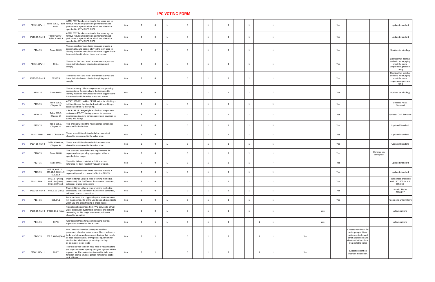| <b>IPC</b> | P113-15 Part I  | 605.4                              | ASTM F877 has been revised a few years ago to<br>Table 605.3, Table   remove redundant pipe/tubing dimensional and<br>performance specifications which are otherwise<br>specified in ASTM F876. F877                                                                                                                                                 | Yes        |  | $\overline{1}$ |                |  |  |  |     |     | Yes                                                                                                                                                   | Updated standard                                                                                   |
|------------|-----------------|------------------------------------|------------------------------------------------------------------------------------------------------------------------------------------------------------------------------------------------------------------------------------------------------------------------------------------------------------------------------------------------------|------------|--|----------------|----------------|--|--|--|-----|-----|-------------------------------------------------------------------------------------------------------------------------------------------------------|----------------------------------------------------------------------------------------------------|
| <b>IPC</b> | P113-15 Part II | Table P2906.4,<br>Table P2906.5    | ASTM F877 has been revised a few years ago to<br>remove redundant pipe/tubing dimensional and<br>performance specifications which are otherwise<br>specified in ASTM F876. F877                                                                                                                                                                      | <b>Yes</b> |  | $\overline{1}$ |                |  |  |  |     |     | Yes                                                                                                                                                   | <b>Updated standard</b>                                                                            |
|            | P114-15         | Table 605.3                        | The proposal removes brass because brass is a<br>copper-alloy and copper-alloy is the term used to<br>identify materials manufactured where copper is the<br>base metal and includes brass and bronze.                                                                                                                                               | Yes        |  | $\overline{1}$ |                |  |  |  |     |     | Yes                                                                                                                                                   | Updates terminology                                                                                |
| <b>IPC</b> | P115-15 Part I  | 605.4                              | The terms "hot" and "cold" are unnecessary as the<br>intent is that all water distribution piping must<br>comply                                                                                                                                                                                                                                     | Yes        |  | $\overline{1}$ |                |  |  |  |     |     | Yes                                                                                                                                                   | Clarifies that noth hot<br>and cold water piping<br>meet the same<br>temperature/pressure<br>ratng |
| <b>IPC</b> | P115-15 Part II | P2906.5                            | The terms "hot" and "cold" are unnecessary as the<br>intent is that all water distribution piping must<br>comply.                                                                                                                                                                                                                                    | Yes        |  | $\overline{1}$ |                |  |  |  |     |     | Yes                                                                                                                                                   | Clarifies that noth hot<br>and cold water piping<br>meet the same<br>temperature/pressure<br>ratng |
| <b>IPC</b> | P118-15         | Table 605.4                        | There are many different copper and copper-alloy<br>compositions. Copper alloy is the term used to<br>identify materials manufactured where copper is the<br>base metal and it includes brass and bronze.                                                                                                                                            | <b>Yes</b> |  | $\overline{1}$ |                |  |  |  |     |     | Yes                                                                                                                                                   | Updates terminology                                                                                |
| <b>IPC</b> | P119-15         | Table 605.5,<br>Chapter 14         | ASSE 1061-2011 added PE-RT to the list of tubings<br>in this edition of the standard so that those fittings<br>can be used for PE-RT tubing.                                                                                                                                                                                                         | Yes        |  | $\overline{1}$ |                |  |  |  |     |     | Yes                                                                                                                                                   | <b>Updated ASSE</b><br>Standard                                                                    |
|            | P120-15         | Table 605.5,<br>Chapter 14         | CSA B137.18 - Polyethylene of raised temperature<br>resistance (PE-RT) tubing systems for pressure<br>applications is a new consensus system standard for<br>tubing and fittings.                                                                                                                                                                    | Yes        |  | $\overline{1}$ |                |  |  |  |     |     | Yes                                                                                                                                                   | Updated CSA Standard                                                                               |
|            | P123-15         | Table 605.7,<br>Chapter 14         | This change will add the new national concensus<br>standard for ball valves.                                                                                                                                                                                                                                                                         | Yes        |  | $\overline{1}$ |                |  |  |  |     |     | Yes                                                                                                                                                   | <b>Updated Standard</b>                                                                            |
| <b>IPC</b> |                 | P124-15 Part I   605.7, Chapter 14 | These are additional standards for valves that<br>should be considered in the valve table.                                                                                                                                                                                                                                                           | Yes        |  | $\overline{1}$ |                |  |  |  |     |     | Yes                                                                                                                                                   | <b>Updated Standard</b>                                                                            |
| <b>IPC</b> | P124-15 Part II | Chapter 44                         | Table P2903.9.4, These are additional standards for valves that<br>should be considered in the valve table.                                                                                                                                                                                                                                          | Yes        |  | $\overline{1}$ |                |  |  |  |     |     | Yes                                                                                                                                                   | <b>Updated Standard</b>                                                                            |
|            | P126-15         | Table 605.8                        | This standard establishes the requirements for<br>copper and copper alloy pipe nipples within a<br>specified size range.                                                                                                                                                                                                                             | <b>Yes</b> |  | $\overline{1}$ |                |  |  |  |     |     | Consistency<br>Yes<br>throughout                                                                                                                      |                                                                                                    |
| <b>IPC</b> | P127-15         | Table 608.1                        | The table did not contain the CSA standard<br>reference for Spill-resistant vacuum breaker.                                                                                                                                                                                                                                                          | Yes        |  | $\overline{1}$ |                |  |  |  |     |     | Yes                                                                                                                                                   | Updated standard                                                                                   |
|            | P129-15         | 605.11, 605.11.1,<br>605.11.4      | $\begin{bmatrix} 605.11, 605.11.1, 605.11.3, 605.11.3, 605.11.3, 605.11.3, 605.11.3, 605.11.3 \end{bmatrix}$ copper alloy and is covered in Section 605.13.                                                                                                                                                                                          | Yes        |  | $\overline{1}$ | $\overline{A}$ |  |  |  |     |     | Yes                                                                                                                                                   | Updated standard                                                                                   |
| <b>IPC</b> | P132-15 Part I  | 605.14.4 (New),<br>605.16.3 (New). | 605.13.7 (New), Push-fit fittings utilize a type of joining method (a<br>connection) that is different than solvent cemented,<br>soldered, brazed connections                                                                                                                                                                                        | Yes        |  | $\overline{1}$ |                |  |  |  |     |     | Yes                                                                                                                                                   | I think these shoud be  <br>605.13.7, 605.14.4 &<br>605.16.3                                       |
| <b>IPC</b> | P132-15 Part II |                                    | Push-fit fittings utilize a type of joining method (a<br>P2906.21 (New) connection) that is different than solvent cemented,<br>soldered, brazed connections                                                                                                                                                                                         | <b>Yes</b> |  | $\overline{1}$ |                |  |  |  |     |     | Yes                                                                                                                                                   | Should this be<br>2906.21?                                                                         |
|            | P134-15         | 605.24.1                           | Because brass is a copper-alloy the sentence does<br>  not make sense. It's telling you to use a brass nipple  <br>when you are already using a brass nipple                                                                                                                                                                                         | Yes        |  | $\overline{1}$ |                |  |  |  |     |     | Yes                                                                                                                                                   | Keeps one uniform term                                                                             |
| <b>IPC</b> |                 | P135-15 Part II   P2906.17.2 (New) | Transitions being made from PVC service to CPVC<br>water distribution systems is common, and solvent<br>cementing for this single transition application<br>should be an option                                                                                                                                                                      | <b>Yes</b> |  | $\overline{1}$ |                |  |  |  |     | Yes |                                                                                                                                                       | Allows options                                                                                     |
|            | P141-15         | 607.3                              | Alternate methods for accommodating thermal<br>expansion are needed in the code.                                                                                                                                                                                                                                                                     | Yes        |  | $\overline{1}$ |                |  |  |  |     | Yes |                                                                                                                                                       | Allows options                                                                                     |
|            | P149-15         |                                    | 608.3 was not intended to require backflow<br>preventers ahead of water pumps, filters, softeners,<br>tanks and other appliances and devices that handle<br>$\Big $ 608.3, 608.4 (New) $\Big _0^{\tan \theta}$ or treat potable water, only special equipment for<br>sterilization, distillation, processing, cooling,<br>or storage of ice or foods | Yes        |  | $\overline{1}$ |                |  |  |  | Yes |     | Creates new 608.4 for<br>water pumps, filters,<br>softeners, tanks and<br>other appliances and  <br>devices that handle or $ $<br>treat potable water |                                                                                                    |
| <b>IPC</b> | P150-15 Part I  | 608.7                              | There is no way to know what type of health hazard $\parallel$<br>the stop and waste opening of a yard hydrant will be<br>exposed to. The contaminants could include lawn<br>fertilizer, animal wastes, garden fertilizer or septic<br>Itank effluent                                                                                                | Yes        |  | $\overline{1}$ |                |  |  |  | Yes |     | <b>Exception clarifies</b><br>intent of the section.                                                                                                  |                                                                                                    |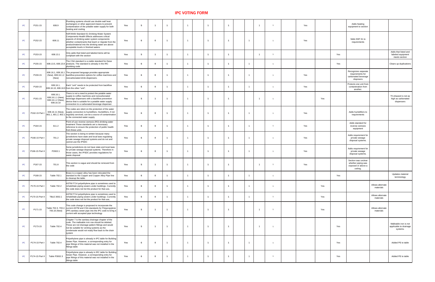| <b>IPC</b> | P151-15         | 608.9                                                 | Plumbing systems should use double wall heat<br>exchangers or other approved means to prevent<br>contamination of the potable water supply for both<br>heating and cooling                                                                                                                                     | Yes        |  |  |  |  |  | Yes | Adds heating<br>equipment to section                                        |                                                             |
|------------|-----------------|-------------------------------------------------------|----------------------------------------------------------------------------------------------------------------------------------------------------------------------------------------------------------------------------------------------------------------------------------------------------------------|------------|--|--|--|--|--|-----|-----------------------------------------------------------------------------|-------------------------------------------------------------|
| <b>IPC</b> | P152-15         | 608.11                                                | NSF/ANSI Standard 61 Drinking Water System<br>Components-Health Effects addresses critical<br>aspects of drinking water system components:<br>whether contaminants that leach or migrate from the<br>product/material into the drinking water are above<br>acceptable levels in finished waters                | Yes        |  |  |  |  |  | Yes | Sdds NSF 61 to<br>requirements                                              |                                                             |
| <b>IPC</b> | P153-15         | 608.13.1                                              | Only adds that listed and labeled items will be<br>compliant with the section                                                                                                                                                                                                                                  | Yes        |  |  |  |  |  |     | Yes                                                                         | Adds that listed and<br>labeled equipment<br>meets section  |
| <b>IPC</b> | P155-15         |                                                       | The CSA standard is a viable standard for these<br>$\vert$ 608.13.5, 608.13.8 $\vert$ products. The standard is already in the IRC<br>plumbing code                                                                                                                                                            | Yes        |  |  |  |  |  |     | Yes                                                                         | Clears up duplications                                      |
| <b>IPC</b> | P159-15         | (New)                                                 | $\vert$ 608.16.1, 608.16.1 The proposed language provides appropriate<br>(New), 608.16.1.2   backflow prevention options for coffee machines and  <br>noncarbonated drink dispensers.                                                                                                                          | Yes        |  |  |  |  |  | Yes | Recognizes separate<br>requirements for<br>carbonated beverage<br>dispnsers |                                                             |
| <b>IPC</b> | P160-15         | 608.16.1,                                             | Each "unit" needs to be protected from backflow<br>608.16.10, 608.16.9 from the other "unit".                                                                                                                                                                                                                  | Yes        |  |  |  |  |  | Yes | Protects one unit from  <br>contamination from<br>another.                  |                                                             |
|            | P161-15         | 608.16.1,<br>  608.16.1.2 (New), $\vert$<br>608.16.10 | There is not a need to protect the potable water<br>$\begin{bmatrix} 608.10.1, \\ 608.16.1.1 \text{ (New)}, \\ 608.16.1.2 \text{ (New)}, \end{bmatrix}$ beverage dispensers with a backflow prevention<br>device that is suitable for a potable water supply<br>connection to a carbonated beverage dispenser. | Yes        |  |  |  |  |  | Yes |                                                                             | Th ehazard is not as<br>high as carbonated<br>dispensers    |
| <b>IPC</b> | P162-15 Part I  |                                                       | The codes are silent on the protection of the water<br>608.16.11 (New), supply connection to humidifiers. Humidifiers, if not<br>801.1, 801.2, 802.1 regularly serviced, can be a source of contamination  <br>to the connected water supply                                                                   | Yes        |  |  |  |  |  | Yes | Adds humidifiers to<br>requirements                                         |                                                             |
| <b>IPC</b> | P164-15         | 611.2                                                 | Point-of-use reverse osmosis (RO) drinking water<br>treatment These standards are a necessary<br>reference to ensure the protection of public health<br>from these units                                                                                                                                       | Yes        |  |  |  |  |  | Yes | Adds standard for<br>reverse osmosis<br>equipment                           |                                                             |
| <b>IPC</b> | P166-15 Part I  | 701.2                                                 | The section is being re-written because many<br>jurisdictions have state and local laws regulating<br>private sewage disposal systems and do not and<br>cannot use the IPSDC                                                                                                                                   | Yes        |  |  |  |  |  | Yes | Adds requirement for<br>private sewage<br>disposal systems.                 |                                                             |
| <b>IPC</b> | P166-15 Part II | P2602.1                                               | Some jurisdictions do not have state and local laws<br>for private sewage disposal systems. Therefore in<br>those cases, the IPSDC provides regulations for<br>waste disposal                                                                                                                                  | Yes        |  |  |  |  |  | Yes | Adds requirement for<br>private sewage<br>disposal systems.                 |                                                             |
| <b>IPC</b> | P167-15         | 701.8                                                 | This section is vague and should be removed from<br>the code                                                                                                                                                                                                                                                   | Yes        |  |  |  |  |  | Yes | Section was unclear<br>whether piping was<br>exposed or above a<br>ceiling. |                                                             |
| <b>IPC</b> | P168-15         | Table 702.1                                           | Brass is a copper alloy has been relocated the<br>standard to the Copper and Copper Alloy Pipe line<br>to cleanup the table.                                                                                                                                                                                   | <b>Yes</b> |  |  |  |  |  |     | Yes                                                                         | Updates material<br>terminology                             |
| <b>IPC</b> | P170-15 Part I  | Table 702.2                                           | ASTM F714 polyethylene pipe is sometimes used to  <br>rehabilitate piping sewers under buildings. Currently<br>the code does not list the product for that use,                                                                                                                                                | Yes        |  |  |  |  |  | Yes | Allows alternate<br>materials                                               |                                                             |
| <b>IPC</b> | P170-15 Part II | <b>TBLE 3002.1</b>                                    | ASTM F714 polyethylene pipe is sometimes used to  <br>  rehabilitate piping sewers under buildings. Currently  <br>the code does not list the product for that use,                                                                                                                                            | Yes        |  |  |  |  |  | Yes | Allows alternate<br>materials                                               |                                                             |
| <b>IPC</b> | P171-15         | 705.16 (New)                                          | This code change is proposed to incorporate the<br>Table 702.3, 703.2, current ASTM and CSA standards for Polypropylene<br>$ $ (PP) sanitary sewer pipe into the IPC code to bring it $ $<br>current with accepted pipe technology                                                                             | Yes        |  |  |  |  |  | Yes | Allows alternate<br>materials                                               |                                                             |
| <b>IPC</b> | P173-15         | Table 702.4                                           | Chapter 7 is the sanitary drainage chapter of the<br>code. The malleable iron row should be deleted.<br>These are not drainage pattern fittings and would<br>not be suitable for venting systems as the<br>condensate would not ready flow back to the drain<br>system                                         | Yes        |  |  |  |  |  |     | Yes                                                                         | Malleable iron is not<br>applicable to drainage<br>systems. |
| <b>IPC</b> | P174-15 Part I  | Table 702.4                                           | Polyethylene pipe is already in IPC table for Building<br>Sewer Pipe. However, a corresponding entry for<br>pipe fittings of this material was not installed in the<br>fittings table                                                                                                                          | Yes        |  |  |  |  |  |     | Yes                                                                         | Added PE to table                                           |
| <b>IPC</b> | P174-15 Part II | Table P3002.3                                         | Polyethylene pipe is already in IRC table for Building<br>Sewer Pipe. However, a corresponding entry for<br>pipe fittings of this material was not installed in the<br>fittings table                                                                                                                          | Yes        |  |  |  |  |  |     | Yes                                                                         | Added PE to table                                           |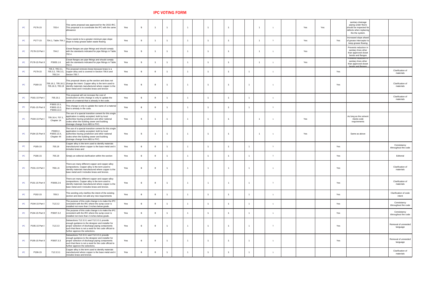| <b>Service Service Service Service Service</b><br>-<br>×<br>. . |  |
|-----------------------------------------------------------------|--|
|                                                                 |  |

| <b>IPC</b> | P176-15         | 703.4                                    | This same proposal was approved for the 2015 IRC.<br>This proposal is to coordinate the IPC with the same  <br>allowance                                                                                                                            | <b>Yes</b> |          |  |  |  |                |  | Yes | Yes |     | sanitary drainage<br>piping under floors<br>should be inspected for<br>defects when replacing<br>the the system. |                                      |
|------------|-----------------|------------------------------------------|-----------------------------------------------------------------------------------------------------------------------------------------------------------------------------------------------------------------------------------------------------|------------|----------|--|--|--|----------------|--|-----|-----|-----|------------------------------------------------------------------------------------------------------------------|--------------------------------------|
| <b>IPC</b> | P177-15         |                                          | 704.1, Table 704.1 There needs to be a greater minimum pipe slope<br>slope to keep grease-laden waste flowing                                                                                                                                       | Yes        |          |  |  |  |                |  | Yes |     | Yes | Increased slope ahaed<br>of grease interceptor to<br>keep grease flowing                                         |                                      |
| <b>IPC</b> | P178-15 Part I  | 704.2                                    | Closet flanges are pipe fittings and should comply<br>with the standards indicated for pipe fittings in Table  <br>702.4.                                                                                                                           | Yes        |          |  |  |  |                |  | Yes |     |     | Prevents reduction in<br>sanitary lines other<br>than approved closet<br>bends and flanges                       |                                      |
| <b>IPC</b> | P178-15 Part II | P3005.1.6                                | Closet flanges are pipe fittings and should comply<br>with the standards indicated for pipe fittings in Table  <br>702.4.                                                                                                                           | Yes        |          |  |  |  |                |  | Yes |     |     | <b>Prevents reduction in</b><br>sanitary lines other<br>than approved closet<br>hends and flanges                |                                      |
| <b>IPC</b> | P179-15         | 705.3, 705.3.1,<br>705.3.4               | The proposal removes brass because brass is a<br>705.3.2, 705.3.3, copper alloy and is covered in Section 706.6 and<br>Secton 705.7.                                                                                                                | Yes        |          |  |  |  | $\overline{1}$ |  |     |     | Yes |                                                                                                                  | <b>Clarification of</b><br>materials |
| <b>IPC</b> | P180-15         |                                          | This proposal cleans up the section and does not<br>705.16.1, 705.16.2, change the intent. Copper-alloy is the term used to<br>705.16.3, 705.19 identify materials manufactured where copper is the<br>base metal and it includes brass and bronze  | Yes        | - 0      |  |  |  |                |  |     |     | Yes |                                                                                                                  | <b>Clarification of</b><br>materials |
| <b>IPC</b> | P181-15 Part I  | 705.16.1                                 | This proposal will not increase the cost of<br>construction as this change is only to update the<br>name of a material that is already in the code.                                                                                                 | Yes        | n.       |  |  |  |                |  |     |     |     |                                                                                                                  | <b>Clarification of</b><br>materials |
| <b>IPC</b> | P181-15 Part II | P3003.13.1,<br>P3003.13.2,<br>P3003.13.3 | This change is only to update the name of a material<br>that is already in the code.                                                                                                                                                                | Yes        |          |  |  |  |                |  |     |     |     |                                                                                                                  |                                      |
| <b>IPC</b> | P184-15 Part I  | 705.16.4, 707.1,<br>Chapter 14           | The use of a special transition cement for this single $ $<br>application is widely accepted, both by local<br>authorities having jurisdiction and other national<br>codes when the building sewer and building<br>drainage change from ABS to PVC. | Yes        |          |  |  |  |                |  | Yes |     |     | As long as the solvent<br>meets code<br>requirements                                                             |                                      |
| <b>IPC</b> | P184-15 Part II | P3003.2,<br>P3003.13.4,<br>Chapter 44    | The use of a special transition cement for this single  <br>application is widely accepted, both by local<br>authorities having jurisdiction and other national<br>codes when the building sewer and building<br>drainage change from ABS to PVC.   | Yes        |          |  |  |  |                |  | Yes |     |     | Same as above                                                                                                    |                                      |
| <b>IPC</b> | P185-15         | 705.18                                   | Copper alloy is the term used to identify materials<br>manufactured where copper is the base metal and it<br>includes brass and                                                                                                                     | Yes        |          |  |  |  | $\overline{1}$ |  |     |     | Yes |                                                                                                                  | Consistancy<br>tthroughout the code  |
| <b>IPC</b> | P186-15         | 705.18                                   | Simply an editorial clarification within the section                                                                                                                                                                                                | Yes        |          |  |  |  |                |  |     |     | Yes |                                                                                                                  | Editorial                            |
| <b>IPC</b> | P191-15 Part I  | 708.1.6                                  | There are many different copper and copper-alloy<br>compositions. Copper alloy is the term used to<br>didentify materials manufactured where copper is the<br>base metal and it includes brass and bronze.                                          | Yes        |          |  |  |  |                |  |     |     | Yes |                                                                                                                  | Clarification of<br>materials        |
| <b>IPC</b> | P191-15 Part II | P3005.2.6                                | There are many different copper and copper-alloy<br>compositions. Copper alloy is the term used to<br>$\vert$ identify materials manufactured where copper is the $\vert$<br>base metal and it includes brass and bronze.                           | Yes        |          |  |  |  | $\overline{1}$ |  |     |     | Yes |                                                                                                                  | Clarification of<br>materials        |
| <b>IPC</b> | P192-15         | 709.3                                    | This wording only clarifies the intent of the existing<br>section and does not add any new requirements                                                                                                                                             | Yes        |          |  |  |  | $\overline{1}$ |  |     |     | Yes |                                                                                                                  | Clarification of code<br>intent      |
| <b>IPC</b> | P194-15 Part I  | 712.3.2                                  | The purpose of this code change is to make the IPC $\vert$<br>consistent with the IRC where the sump cover is<br>installed not more than 2 inches below grade.                                                                                      | Yes        |          |  |  |  |                |  |     |     | Yes |                                                                                                                  | Consistancy<br>tthroughout the code  |
| <b>IPC</b> | P194-15 Part II | P3007.3.2                                | The purpose of this code change is to make the IPC $\, \,$<br>consistent with the IRC where the sump cover is<br>installed not more than 2 inches below grade.                                                                                      | Yes        |          |  |  |  |                |  |     |     | Yes |                                                                                                                  | Consistancy<br>tthroughout the code  |
| <b>IPC</b> | P195-15 Part I  | 712.3.3                                  | Subsections 712.3.3.1 and 712.3.3.1 provide<br>enough guidance to the designer and installer for<br>proper selection of discharge piping components<br>such that there is not a need for the code official to<br>further approve the selections.    | Yes        | $\bm{0}$ |  |  |  |                |  |     |     | Yes |                                                                                                                  | Removal of unneeded<br>language      |
| <b>IPC</b> | P195-15 Part II | P3007.3.3                                | Subsections 712.3.3.1 and 712.3.3.1 provide<br>enough guidance to the designer and installer for<br>proper selection of discharge piping components<br>such that there is not a need for the code official to<br>further approve the selections.    | Yes        |          |  |  |  |                |  |     |     | Yes |                                                                                                                  | Removal of unneeded<br>language      |
| <b>IPC</b> | P196-15         | 712.3.3.1                                | Copper alloy is the term used to identify materials<br>manufactured where copper is the base metal and it<br>includes brass and bronze.                                                                                                             | Yes        |          |  |  |  |                |  |     |     |     |                                                                                                                  | <b>Clarification of</b><br>materials |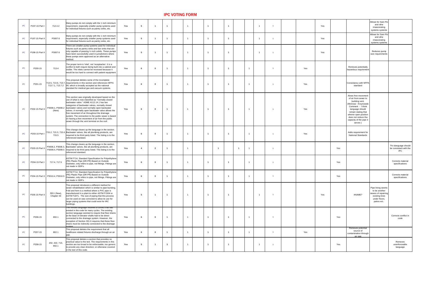| <b>IPC</b> | P197-15 Part I  | 712.4.2                            | Many pumps do not comply with the 1 inch minimum  <br>requirement, especially smaller pump systems used<br>for individual fixtures such as pantry sinks, etc.                                                                                                                                                                                                                                                                                                                                                                            | Yes        |  |  |  |  |  |  | Yes | Allows for Sani-Flo<br>and othe<br>rmascerating<br>systems systems                                                                                                                                                                          |                                                              |
|------------|-----------------|------------------------------------|------------------------------------------------------------------------------------------------------------------------------------------------------------------------------------------------------------------------------------------------------------------------------------------------------------------------------------------------------------------------------------------------------------------------------------------------------------------------------------------------------------------------------------------|------------|--|--|--|--|--|--|-----|---------------------------------------------------------------------------------------------------------------------------------------------------------------------------------------------------------------------------------------------|--------------------------------------------------------------|
| <b>IPC</b> | P197-15 Part II | P3007.6                            | Many pumps do not comply with the 1 inch minimum  <br>requirement, especially smaller pump systems used<br>for individual fixtures such as pantry sinks, etc.                                                                                                                                                                                                                                                                                                                                                                            | Yes        |  |  |  |  |  |  | Yes | Allows for Sani-Flo<br>and othe<br>rmascerating<br>systems systems                                                                                                                                                                          |                                                              |
| <b>IPC</b> | P198-15 Part II | P3007.6                            | There are smaller pump systems used for individual  <br>fixtures such as pantry sinks and bar sinks that are<br>only capable of passing $\frac{1}{2}$ inch solids. These pumps<br>have been successfully used in jurisdictions where<br>these pumps were approved as an alternative<br>method.                                                                                                                                                                                                                                           | <b>Yes</b> |  |  |  |  |  |  | Yes | Reduces pump<br>size requirements                                                                                                                                                                                                           |                                                              |
| <b>IPC</b> | P200-15         | 713.4                              | The proper term is 'inlet', not 'receptacles'. It is a<br>conflict to both require being built into a cabinet and<br>visible. The inlets cannot be recessed because it<br>would be too hard to connect with patient equipment                                                                                                                                                                                                                                                                                                            | Yes        |  |  |  |  |  |  | Yes | Removes potentially<br>hazardous requirement                                                                                                                                                                                                |                                                              |
| <b>IPC</b> | P201-15         |                                    | This proposal deletes some of the incomplete<br>713.5, 713.6, 713.7, requirements in this section and references NFPA<br>713.7.1, 713.7.2 $\left 99\right $ , which is broadly accepted as the national<br>standard for medical gas and vacuum systems.                                                                                                                                                                                                                                                                                  | Yes        |  |  |  |  |  |  | Yes | Consistancy with NFPA<br>standard                                                                                                                                                                                                           |                                                              |
| <b>IPC</b> | P202-15 Part II | (New)                              | This section was originally developed based on the<br>use of what is now classified as "normally closed<br>backwater valve." ASME A112.14.1 has two<br>categories of backwater valves, normally closed<br>P3008.1, P3008.2 backwater valves and normally open backwater<br>valves. A normally open backwater valve allows the<br>free movement of air throughout the drainage<br>system. The connection to the public sewer is based<br>on having a free movement of air from the public<br>sewer through the vent terminal on the roof. | Yes        |  |  |  |  |  |  | Yes | Alows free movement<br>of air from sewer to<br>building vent.<br>(McGraw - Krxynowski  <br>Comment - I think<br>language should<br>remain stating that<br>whenin open position<br>does not reduce tha<br>capacity of the pipe it<br>serves) |                                                              |
| <b>IPC</b> | P203-15 Part I  | 715.5                              | This change cleans up the language in the section.<br>715.2, 715.3, 715.4, Backwater valves, like all plumbing products, are<br>required to be third party listed. The listing is to the<br>referenced standard.                                                                                                                                                                                                                                                                                                                         | Yes        |  |  |  |  |  |  | Yes | Adds requirement for<br><b>National Standards</b>                                                                                                                                                                                           |                                                              |
| <b>IPC</b> | P203-15 Part II |                                    | This change cleans up the language in the section.<br>P3008.2, P3008.3, Backwater valves, like all plumbing products, are<br>P3008.4, P3008.5   required to be third party listed. The listing is to the<br>referenced standard.                                                                                                                                                                                                                                                                                                         | Yes        |  |  |  |  |  |  |     | Yes                                                                                                                                                                                                                                         | Thi slanguage should<br>be consistant with the<br><b>IPC</b> |
| <b>IPC</b> | P204-15 Part I  | 717.4, 717.5                       | ASTM F714, Standard Specification for Polyethylene<br>(PE) Plastic Pipe (DR-PR) Based on Outside<br>Diameter, only refers to pipe, not fittings. Fittings are  <br>not made in SDR's                                                                                                                                                                                                                                                                                                                                                     | Yes        |  |  |  |  |  |  |     | Yes                                                                                                                                                                                                                                         | Corrects material<br>specifications                          |
| <b>IPC</b> |                 | P204-15 Part II   P3010.4, P3010.5 | ASTM F714, Standard Specification for Polyethylene<br>(PE) Plastic Pipe (DR-PR) Based on Outside<br>Diameter, only refers to pipe, not fittings. Fittings are $\vert$<br>not made in SDR's                                                                                                                                                                                                                                                                                                                                               | Yes        |  |  |  |  |  |  |     | Yes                                                                                                                                                                                                                                         | Corrects material<br>specifications                          |
| <b>IPC</b> | P205-15 Part II | 3011 (New),<br>Chapter 44          | This proposal introduces a different method for<br>sewer rehabilitation which is similar to pipe bursting.<br>Fold and form is a method where a PVC pipe is<br>manufactured in a plant to either ASTM F1504 or<br>ASTM F1871. The size of piping that this process<br>can be used on was corrected to allow its use for<br>larger piping systems that could exist for IRC<br>buildings.                                                                                                                                                  | Yes        |  |  |  |  |  |  | Yes | Pipe lining seems<br>to be another<br>means of repairing<br>#NAME?<br>existing lines<br>under floors,<br>patios ect                                                                                                                         |                                                              |
| <b>IPC</b> | P206-15         | 802.1                              | The revised language resolves a conflict that has<br>existed in the code for many cycles. The existing<br>section language seemed to require that floor drains<br>at the base of elevator shafts had to be direct<br>connected to the drainage system. However, the<br>exception of Section 301.6 requires that these floor<br>drains must be indirectly connected to the drainage                                                                                                                                                       | Yes        |  |  |  |  |  |  |     | Yes                                                                                                                                                                                                                                         | Corrects conflict in<br>code                                 |
| <b>IPC</b> | P207-15         | 802.1                              | This proposal deletes the requirement that all<br>healthcare related fixtures discharge through an air                                                                                                                                                                                                                                                                                                                                                                                                                                   | Yes        |  |  |  |  |  |  | Yes | Removes potential<br>source of<br>contamination through<br><u>air gap</u>                                                                                                                                                                   |                                                              |
| <b>IPC</b> | P208-15         | 202, 422, 713,<br>802.1            | This proposal deletes a section that provides no<br>practical value to the text. The requirements in this<br>section are too broad to be enforceable; too generic<br>to provide any clear direction; or otherwise covered<br>in the text of this code.                                                                                                                                                                                                                                                                                   | Yes        |  |  |  |  |  |  |     | Yes                                                                                                                                                                                                                                         | Removes<br>unenforceable<br>language                         |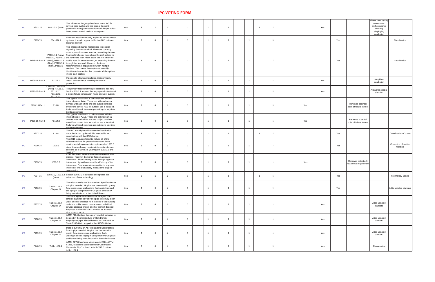| <b>IPC</b> | P212-15         | 802.3.3.1 (New)                                                                | This allowance language has been in the IRC for<br>several code cycles and has been a frequent<br>practice in many jurisdictions for much longer. It has<br>been proven to work well for many years.                                                                                                                                                                                                                                                                                                                                                                                                                                                          | Yes        |  |                |                |                      |  |  |     | Yes |     | Allows laundry tray<br>to connect to<br>clothes washer<br>drawing<br>simplifying<br>installation |                                  |
|------------|-----------------|--------------------------------------------------------------------------------|---------------------------------------------------------------------------------------------------------------------------------------------------------------------------------------------------------------------------------------------------------------------------------------------------------------------------------------------------------------------------------------------------------------------------------------------------------------------------------------------------------------------------------------------------------------------------------------------------------------------------------------------------------------|------------|--|----------------|----------------|----------------------|--|--|-----|-----|-----|--------------------------------------------------------------------------------------------------|----------------------------------|
| <b>IPC</b> | P213-15         | 804, 804.1                                                                     | Since this requirement only applies to indirect waste<br>systems, it should appear in Section 802, not as a<br>separate section                                                                                                                                                                                                                                                                                                                                                                                                                                                                                                                               | Yes        |  |                |                |                      |  |  |     |     | Yes |                                                                                                  | Coordination                     |
| <b>IPC</b> | P215-15 Part II |                                                                                | This proposed change reorganizes the section<br>regarding the vent terminal. There are currently<br>three options for a vent terminal, extending the vent<br>P3101.1.2 (New), (number) inches or more above the roof, extending<br>P3103.1, P3103.1.1 the vent more than 7 feet above the roof when the<br>(New), P3103.1.3 $\vert$ roof is used for entertainment, or extending the vent<br>(New), P3103.1.4  through the side wall. However, the three<br>(New), P3103.6 $ $ requirements are separated between multiple<br>sections. This makes the requirement readily<br>identifiable in a section that presents all the options<br>in one main section. | Yes        |  |                |                |                      |  |  |     |     | Yes |                                                                                                  | Coordination                     |
| <b>IPC</b> | P220-15 Part II | P3111.1                                                                        | It's going to allow an installation that previously<br>wasn't permitted thus lowering the cost of<br>production.                                                                                                                                                                                                                                                                                                                                                                                                                                                                                                                                              | Yes        |  |                |                |                      |  |  |     | Yes |     | Simplifies<br>installation                                                                       |                                  |
| <b>IPC</b> | P221-15 Part II | P3111.1, P3111.1.1<br>(New), P3111.2,<br>P3111.2.1,<br>P3111.2.2,<br>P3111 2 3 | The primary reason for this proposal is to add new<br>Section 915.1.1 to cover the very special situation of<br>a single fixture combination waste and vent system                                                                                                                                                                                                                                                                                                                                                                                                                                                                                            | Yes        |  |                |                |                      |  |  |     | Yes |     | Allows for special<br>situation                                                                  |                                  |
| <b>IPC</b> | P226-15 Part I  | 918.8                                                                          | This type of installation is not consistent with the<br>intent of use of AAVs. These are still mechanical<br>devices with a shelf life and are subject to failure<br>even if the correct AAV for outdoor use is installed.<br>Failures will result in sewer gas making its way into<br>building openings                                                                                                                                                                                                                                                                                                                                                      | Yes        |  |                |                |                      |  |  | Yes |     |     | Removes potential<br>point of failure in vent                                                    |                                  |
| <b>IPC</b> | P226-15 Part II | P3114.8                                                                        | This type of installation is not consistent with the<br>intent of use of AAVs. These are still mechanical<br>devices with a shelf life and are subject to failure<br>even if the correct AAV for outdoor use is installed.<br>Failures will result in sewer gas making its way into<br>building openings                                                                                                                                                                                                                                                                                                                                                      | Yes        |  |                |                |                      |  |  | Yes |     |     | Removes potential<br>point of failure in vent                                                    |                                  |
| <b>IPC</b> | P227-15         | 918.8                                                                          | The IRC already has this correction/clarification<br>made in the last cycle and this proposal is for<br>coordination with that IRC change.                                                                                                                                                                                                                                                                                                                                                                                                                                                                                                                    | Yes        |  |                |                |                      |  |  |     |     | Yes |                                                                                                  | Coordination of codes            |
| <b>IPC</b> | P230-15         | 1000.3                                                                         | The 2015 language failed to include all of the<br>relevant sections for grease interceptors in the<br>requirements for grease interceptors under 1003.3<br>since it currently only requires interceptors to meet<br>sections up to 1003.3.5 (leaving out 1003.3.6 and                                                                                                                                                                                                                                                                                                                                                                                         | <b>Yes</b> |  |                |                |                      |  |  |     |     | Yes |                                                                                                  | Correction of section<br>numbers |
| <b>IPC</b> | P233-15         | 1003.3.2                                                                       | 1003.3.7).<br>It has been well established that food waste from a<br>disposer must not discharge through a grease<br>interceptor. If food waste passes through a grease<br>interceptor, it greatly reduces the efficiency of the<br>interceptor. Food waste decomposition in a grease<br>interceptor will dramatically increase the oxygen<br><u>lconsumption.</u>                                                                                                                                                                                                                                                                                            | Yes        |  |                |                |                      |  |  | Yes |     |     | Removes potentially<br>hazardous requirement                                                     |                                  |
| <b>IPC</b> | P234-15         | (New)                                                                          | 1003.3.2, 1003.3.3 Section 1003.3.2 is outdated and ignores the<br>advances of new technology.                                                                                                                                                                                                                                                                                                                                                                                                                                                                                                                                                                | Yes        |  |                |                |                      |  |  |     |     | Yes |                                                                                                  | Technology update                |
| <b>IPC</b> | P236-15         | Table 1102.4,<br>Chapter 14                                                    | There is currently an CSA Standard Specification for<br>this pipe material. PP pipe has been used in gravity<br>flow storm sewer applications (both watertight and<br>soil tight) in Europe for over 25 years and is now<br>being manufactured in the United States                                                                                                                                                                                                                                                                                                                                                                                           | Yes        |  | $\overline{1}$ | $\overline{1}$ |                      |  |  |     |     | Yes |                                                                                                  | Adds updated standard            |
| <b>IPC</b> | P237-15         | Table 1102.4,<br>Chapter 14                                                    | There are applications where the designer uses<br>smaller diameter polyethylene pipe to convey storm  <br>water or other drainage from the end of the building<br>drain to a public sewer, private sewer, individual<br>sewage disposal system or other point of disposal.<br>Proposed ASTM F667-06 is needed as it covers<br>lpipe sizes 3" to 24                                                                                                                                                                                                                                                                                                            | Yes        |  |                |                |                      |  |  |     | Yes |     | Adds updated<br>standard                                                                         |                                  |
|            | P238-15         | Table 1102.4,<br>Chapter 14                                                    | ASTM F2648 allows the use of recycled materials to  <br>be used in the manufacture of High Density<br>Polyethyene pipe. The addition of ASTM F2648 to<br>Table 1102.4 is in support of the IGCC initiative.                                                                                                                                                                                                                                                                                                                                                                                                                                                   | <b>Yes</b> |  |                |                |                      |  |  |     | Yes |     | Adds updated<br>standard                                                                         |                                  |
| <b>IPC</b> | P239-15         | Table 1102.4,<br>Chapter 14                                                    | there is currently an ASTM Standard Specification<br>for this pipe material. PP pipe has been used in<br>gravity flow storm sewer applications (both<br>  watertight and soil tight) in Europe for over 25 years  <br>and is now being manufactured in the United States.                                                                                                                                                                                                                                                                                                                                                                                     | Yes        |  | $\overline{1}$ |                |                      |  |  |     | Yes |     | Adds updated<br>standard                                                                         |                                  |
| <b>IPC</b> | P240-15         | Table 1102.4                                                                   | ASTM D2751 has been withdrawn in 2014. ASTM<br>F1488, "Standard Specification for Coextruded<br>Composite Pipe" is found in table 702.2, but not<br>table 1102.4                                                                                                                                                                                                                                                                                                                                                                                                                                                                                              | Yes        |  |                |                | $\blacktriangleleft$ |  |  |     | Yes |     | Allows option                                                                                    |                                  |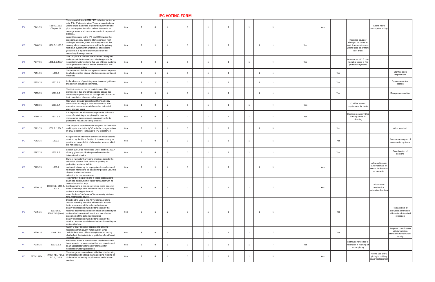| <b>IPC</b> | P241-15        | Table 1102.5,<br>Chapter 14 | The currently listed ASTM F405 is limited in size to  <br>only 3" to 6" diameter pipe. There are applications<br>where larger diameters of perforated polyethylene<br>pipe are required to collect subsurface water or<br>seepage water and convey such water to a place of<br>disposa                                                                                                                                                                                                                                             | Yes |  |                |                |  |  | Yes | Allows more<br>appropriate sizing                                                                         |
|------------|----------------|-----------------------------|------------------------------------------------------------------------------------------------------------------------------------------------------------------------------------------------------------------------------------------------------------------------------------------------------------------------------------------------------------------------------------------------------------------------------------------------------------------------------------------------------------------------------------|-----|--|----------------|----------------|--|--|-----|-----------------------------------------------------------------------------------------------------------|
| <b>IPC</b> | P246-15        | 1106.5, 1108.3              | current language in the IPC and IBC implies that<br>scuppers are only approved for secondary roof<br>drainage. However, there are many areas of the<br>country where scuppers are used for the primary<br>roof drain system with another set of scuppers<br>(installed at a higher elevation) used for the<br>secondary drainage system                                                                                                                                                                                            | Yes |  | $\overline{1}$ |                |  |  | Yes | Requires scupper<br>sizing to be same as<br>roof drain requirement<br>where used as primary<br>roof drain |
| <b>IPC</b> | P247-15        |                             | This proposal is to insert text to remind designers<br>and users of the International Plumbing Code for<br>1301.1.1 (New)   nonpotable water systems that use of these systems  <br>in fire protection warrant further examination and<br>design considerations.                                                                                                                                                                                                                                                                   | Yes |  | $\overline{1}$ | $\overline{1}$ |  |  | Yes | Referenc es IFC fr non-<br>=potable water in fire<br>protection systems                                   |
| <b>IPC</b> | P251-15        | 1301.6                      | Treatment and disinfection systems are not expected<br>to affect permitted piping, plumbing components and  <br>materials.                                                                                                                                                                                                                                                                                                                                                                                                         | Yes |  |                |                |  |  | Yes | <b>Clarifies code</b><br>requirement                                                                      |
| <b>IPC</b> | P253-15        | 1301.9.1                    | In the absence of providing more informed guidance,<br>this section should be eliminated.                                                                                                                                                                                                                                                                                                                                                                                                                                          | Yes |  |                |                |  |  | Yes | Removes unclear<br>section                                                                                |
| <b>IPC</b> | P255-15        | 1301.9.2                    | The first sentence has no added value. The<br>provisions of this and other sections dictate the<br> necessary requirements for storage tanks based on  <br>their installation above or below grade                                                                                                                                                                                                                                                                                                                                 | Yes |  |                |                |  |  | Yes | Reorganizes section                                                                                       |
| <b>IPC</b> | P258-15        | 1301.9.7                    | Raw water storage tanks should have an easy<br>access for cleaning (i.e. manhole access). The<br>exception more appropriately applies to treated<br>water storage tanks.                                                                                                                                                                                                                                                                                                                                                           | Yes |  |                |                |  |  | Yes | <b>Clarifies access</b><br>requirement for tanks                                                          |
| <b>IPC</b> | P259-15        | 1301.9.9                    | It is important for all water storage tanks to have a<br>means for draining or emptying the tank for<br>maintenance purposes and cleaning in order to<br>protect the health and safety of users                                                                                                                                                                                                                                                                                                                                    | Yes |  | $\overline{1}$ |                |  |  | Yes | Clarifies requiremnt for<br>draining tanks for<br>cleaning                                                |
| <b>IPC</b> | P261-15        |                             | This proposal coordinates the scope of ASTM E2635<br>1302.1, 1304.3 $ $ and its prior use in the IgCC, with the reorganization $ $<br>of IgCC Chapter 7 language to IPC Chapter 13.                                                                                                                                                                                                                                                                                                                                                | Yes |  |                |                |  |  | Yes | Adds standard                                                                                             |
| <b>IPC</b> | P262-15        | 1302.2                      | As approval of alternative sources of reuse water is  <br>required by the Code Section, it is unnecessary to<br>provide an example list of alternative sources which  <br>are not exclusive                                                                                                                                                                                                                                                                                                                                        | Yes |  | $\overline{1}$ | $\overline{1}$ |  |  | Yes | Removes examples of<br>reuse water systems                                                                |
|            | P267-15        | 1302.7.2                    | Section 1301.9 as referenced under section 1302.7<br>already gives specific design and construction<br>information for tanks.                                                                                                                                                                                                                                                                                                                                                                                                      | Yes |  | $\overline{1}$ | $\overline{1}$ |  |  | Yes | Coordination of<br>sections                                                                               |
| <b>IPC</b> | P269-15        | 1303.2                      | Current rainwater harvesting practices include the<br>collection of water from vehicular parking or<br>pedestrian surfaces. While<br>such restriction may be appropriate for collection of<br>rainwater intended to be treated for potable use, this<br>chapter address rainwater<br>collection for nonpotable use.                                                                                                                                                                                                                | Yes |  | $\overline{1}$ |                |  |  | Yes | Allows alternate<br>tank materials for<br>non-potable reuse<br>of rainwater                               |
| <b>IPC</b> | P270-15        | 1303.4                      | The intent of the provisions in these sections is to<br>divert the initial runoff of water from a roof with its<br>contaminants that may<br>1303.15.2, 1303.3, build up during a non-rain event so that it does not<br>enter the storage tank. While the result is basically<br>an initial washing of the roof<br>area, the term "roof washer" is commonly mistaken<br>lfor a mechanical device.                                                                                                                                   | Yes |  |                |                |  |  | Yes | Allows non-<br>mechanical<br>rainwater diverters                                                          |
| <b>IPC</b> | P275-15        | 1303.15.8,                  | Directing the user to the ASTM standard alone<br>without providing the table will result in a much<br>better assesment of the collected rainwater<br>quality and result in much better design of the<br>$\vert$ required treatment and determination of suitablity for $\vert$<br>1303.15.9 (New) $\vert$ an intended useable will result in a much better<br>assesment of the collected rainwater<br>quality and result in much better design of the<br>required treatment and determination of suitablity for<br>an intended use | Yes |  | $\overline{1}$ |                |  |  | Yes | Replaces list of<br>allowable parameters<br>with national standard<br>reference                           |
| <b>IPC</b> | P276-15        | 1303.15.8                   | ASTM E 2727 does not address the differing<br>regulations that govern water quality. Since<br>Jurisdictions have different requirements, testing<br>shall reflect the Jurisdictions guidelines for different<br>intended uses.                                                                                                                                                                                                                                                                                                     | Yes |  | $\overline{1}$ |                |  |  | Yes | Requires coordination<br>with jurisdiction<br>standards for rainwater<br>quality                          |
| <b>IPC</b> | P278-15        | 1302.3.1.3                  | Reclaimed water is not rainwater. Reclaimed water<br>is reuse water, or wastewater that has been treated<br>to an acceptable water quality standard for<br>nonpotable water applications.                                                                                                                                                                                                                                                                                                                                          | Yes |  |                |                |  |  | Yes | Removes reference to<br>rainwater in marking of<br>reuse piping                                           |
| <b>IPC</b> | P279-15 Part I |                             | The changes as seen above will allow pipe bursting  <br>  702.2, 717, 717.1, $\vert$ of underground building drainage piping meeting all $\vert$<br>717.2, 717.6 $\int$ of the other necessary requirements under these<br>sections.                                                                                                                                                                                                                                                                                               | Yes |  |                |                |  |  | Yes | Allows use of PE<br>piping in buiding<br>Isewer replacement                                               |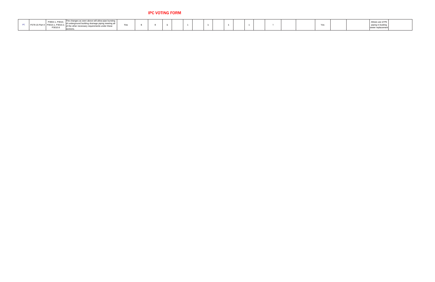| nanges as seen above will allow pipe bursting  <br>10C<br>Yes<br>r necessary requirements under these<br>P3010.6<br>sections |  |  |  |  |  |  |  |  |  |  |  | Yes |  | Allows use of PE<br>piping in buiding<br>replacemen |  |
|------------------------------------------------------------------------------------------------------------------------------|--|--|--|--|--|--|--|--|--|--|--|-----|--|-----------------------------------------------------|--|
|------------------------------------------------------------------------------------------------------------------------------|--|--|--|--|--|--|--|--|--|--|--|-----|--|-----------------------------------------------------|--|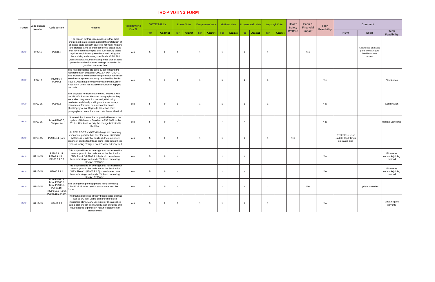| <b>I-Code</b> | Code Change<br><b>Number</b> | <b>Code Section</b>                                                                                      | <b>Reason:</b>                                                                                                                                                                                                                                                                                                                                                                                                                                                                                                          | <b>Recommend</b><br>Y or N |     | <b>VOTE TALLY</b> | <b>Rosser Vote</b> |                |     | <b>Kampmeyer Vote</b> |     |                | McGraw Vote Krzyzanowski Vote |         |     | <b>Wojaczyk Vote</b> | <b>Health</b><br><b>Safety</b> | Econ &<br><b>Financial</b> | <b>Tech</b><br><b>Feasibility</b> |                                                                    | <b>Comment</b>                                                          |                                          |
|---------------|------------------------------|----------------------------------------------------------------------------------------------------------|-------------------------------------------------------------------------------------------------------------------------------------------------------------------------------------------------------------------------------------------------------------------------------------------------------------------------------------------------------------------------------------------------------------------------------------------------------------------------------------------------------------------------|----------------------------|-----|-------------------|--------------------|----------------|-----|-----------------------|-----|----------------|-------------------------------|---------|-----|----------------------|--------------------------------|----------------------------|-----------------------------------|--------------------------------------------------------------------|-------------------------------------------------------------------------|------------------------------------------|
|               |                              |                                                                                                          |                                                                                                                                                                                                                                                                                                                                                                                                                                                                                                                         |                            | For | <b>Against</b>    | For                | <b>Against</b> | For | <b>Against</b>        | For | <b>Against</b> | For                           | Against | For | <b>Against</b>       | <b>Welfare</b>                 | Impact                     |                                   | <b>HSW</b>                                                         | <b>Econ</b>                                                             | <b>Tech</b><br><b>Feasibility</b>        |
| IRC-P         | <b>RP5-15</b>                | P2801.6                                                                                                  | The reason for this code proposal is that there<br>should not be a restriction against the installation of<br>all plastic pans beneath gas-fired hot water heaters<br>and storage tanks as there are some plastic pans<br>that have been developed and successfully tested<br>against tough industry standards and ratings for<br>flammability and smoke, specifically ASTM E84<br>Class A standards, thus making these type of pans<br>perfectly suitable for water leakage protection for<br>gas-fired hot water heat | Yes                        |     |                   |                    |                |     |                       |     |                |                               |         |     |                      |                                | Yes                        |                                   |                                                                    | Allows use of plastic<br>pans beneath gas<br>fired hot water<br>heaters |                                          |
| <b>IRC-P</b>  | RP8-15                       | P2902.5.4,<br>P2904.1                                                                                    | The revision clarifies the code by coordinating the<br>requirements in Sections P2902.5.4 with P2904.1.<br>The allowance to omit backflow protection for certain<br>stand-alone systems currently permitted by Section<br>P2904.1 was not previously correlated with Section<br>P2902.5.4, which has caused confusion in applying<br>the code                                                                                                                                                                           | Yes                        |     |                   |                    |                |     |                       |     |                |                               |         |     |                      |                                |                            | Yes                               |                                                                    |                                                                         | Clarification                            |
| IRC-P         | RP10-15                      | P2903.5                                                                                                  | This proposal re-aligns both the IRC P2903.5 with<br>the IPC 604.9 Water Hammer paragraphs as they<br>were when they were first created, eliminating<br>confusion and clearly spelling out the necessary<br>requirement for water hammer control on all<br>plumbing systems. Originally, these two code<br>paragraphs on water hammer control were identical.                                                                                                                                                           | <b>Yes</b>                 |     |                   |                    |                |     |                       |     |                |                               |         |     |                      |                                |                            | Yes                               |                                                                    |                                                                         | Coordination                             |
| <b>IRC-P</b>  | RP12-15                      | Table P2906.6,<br>Chapter 44                                                                             | Successful action on this proposal will result in the<br>update of Reference Standard ASSE 1061 to the<br>2011 edition level for only the change indicated in<br>the table.                                                                                                                                                                                                                                                                                                                                             | Yes                        |     |                   |                    |                |     |                       |     |                |                               |         |     |                      |                                |                            | Yes                               |                                                                    |                                                                         | Update Standards                         |
| IRC-P         | RP13-15                      | P2906.6.1 (New                                                                                           | As PEX, PE-RT and CPVC tubings are becoming<br>even more popular than ever for water distribution<br>systems in residential buildings, there are more<br>reports of saddle tap fittings being installed on these<br>types of tubing. This just doesn't work out very well                                                                                                                                                                                                                                               | Yes                        |     |                   |                    |                |     |                       |     |                |                               |         |     |                      | Yes                            |                            |                                   | Restrictes use of<br><b>Saddle Tap Fittings</b><br>on plastic pipe |                                                                         |                                          |
| IRC-P         | RP14-15                      | P2906.9.1.5,<br>P2906.9.1.5.1,<br>P2906.9.1.5.2                                                          | This proposal fixes an oversight that has existed for<br>several years in this code in that the Section for<br>"PEX Plastic" (P2906.9.1.5) should never have<br>been subcategorized under "Solvent cementing"<br>Section P2906.9.1.                                                                                                                                                                                                                                                                                     | Yes                        |     |                   |                    |                |     |                       |     |                |                               |         |     |                      |                                |                            | Yes                               |                                                                    |                                                                         | Eliminates<br>unusable joining<br>method |
| <b>IRC-P</b>  | RP15-15                      | P2906.9.1.4                                                                                              | This proposal fixes an oversight that has existed for  <br>several years in this code in that the Section for<br>"PEX Plastic" (P2906.9.1.5) should never have<br>been subcategorized under "Solvent cementing"<br>Section P2906.9.1.                                                                                                                                                                                                                                                                                   | Yes                        |     |                   |                    |                |     |                       |     |                |                               |         |     |                      |                                |                            | Yes                               |                                                                    |                                                                         | Eliminates<br>unusable joining<br>method |
| <b>IRC-P</b>  | RP16-15                      | Table P2906.4,<br>Table P2906.5,<br>Table P2906.6,<br>P2906.19,<br>P2906.19.2 (New),<br>P2906.19.3 (New) | This change will permit pipe and fittings meeting<br>CSA B137.18 to be used in accordance with the<br>Code.                                                                                                                                                                                                                                                                                                                                                                                                             | Yes                        |     |                   |                    |                |     |                       |     |                |                               |         |     |                      |                                | Yes                        |                                   |                                                                    | Update materials                                                        |                                          |
| IRC-P         | RP17-15                      | P3003.9.2                                                                                                | The market place has already begun using clear as<br>well as UV-light visible primers where local<br>inspectors allow. Many users prefer this as spilled<br>purple primers can permanently stain surfaces and  <br>cause added expenses in repair/replacement of<br>stained items.                                                                                                                                                                                                                                      | Yes                        |     |                   |                    |                |     |                       |     |                |                               |         |     |                      |                                |                            | Yes                               |                                                                    |                                                                         | Updates joint<br>solvents                |

# IRC-P VOTING FORM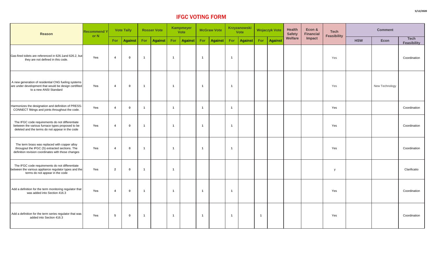| <b>Reason</b>                                                                                                                                          | <b>Recommend Y</b><br>or N |                         | <b>Vote Tally</b> |                         | <b>Rosser Vote</b> |     | <b>Kampmeyer</b><br><b>Vote</b> | <b>McGraw Vote</b> |         | Krzyzanowski<br>Vote |                | <b>Wojaczyk Vote</b> |                | <b>Health</b><br><b>Safety</b> | Econ &<br><b>Financial</b> | <b>Tech</b><br><b>Feasibility</b> | <b>Comment</b> |                |                                   |
|--------------------------------------------------------------------------------------------------------------------------------------------------------|----------------------------|-------------------------|-------------------|-------------------------|--------------------|-----|---------------------------------|--------------------|---------|----------------------|----------------|----------------------|----------------|--------------------------------|----------------------------|-----------------------------------|----------------|----------------|-----------------------------------|
|                                                                                                                                                        |                            | For                     | <b>Against</b>    | For                     | <b>Against</b>     | For | <b>Against</b>                  | For                | Against | For                  | <b>Against</b> | For                  | <b>Against</b> | <b>Welfare</b>                 | <b>Impact</b>              |                                   | <b>HSW</b>     | <b>Econ</b>    | <b>Tech</b><br><b>Feasibility</b> |
| Gas-fired toilets are referenced in 626.1 and 626.2, but<br>they are not defined in this code.                                                         | Yes                        |                         | $\bf{0}$          |                         |                    |     |                                 |                    |         |                      |                |                      |                |                                |                            | Yes                               |                |                | Coordination                      |
| A new generation of residential CNG fueling systems<br>are under development that would be design certifited<br>to a new ANSI Standard                 | Yes                        | $\overline{\mathbf{4}}$ | 0                 |                         |                    |     |                                 |                    |         |                      |                |                      |                |                                |                            | Yes                               |                | New Technology |                                   |
| Harmonizes the designation and definition of PRESS-<br>CONNECT fittings and joints throughout the code.                                                | Yes                        |                         | $\bf{0}$          | $\overline{1}$          |                    |     |                                 |                    |         |                      |                |                      |                |                                |                            | Yes                               |                |                | Coordination                      |
| The IFGC code requirements do not differentiate<br>between the various furnace types proposed to be<br>deleted and the terms do not appear in the code | Yes                        | $\overline{4}$          | $\bf{0}$          | $\overline{1}$          |                    |     |                                 |                    |         |                      |                |                      |                |                                |                            | Yes                               |                |                | Coordination                      |
| The term brass was replaced with copper alloy<br>througout the IFGC (S) extracted sections. The<br>definition revision coordinates with those changes  | Yes                        | $\overline{4}$          | $\bf{0}$          | $\overline{\mathbf{1}}$ |                    |     |                                 |                    |         |                      |                |                      |                |                                |                            | Yes                               |                |                | Coordination                      |
| The IFGC code requirements do not differentiate<br>between the various appliance regulator types and the<br>terms do not appear in the code            | Yes                        | $\overline{2}$          | $\bf{0}$          | $\overline{\mathbf{1}}$ |                    |     |                                 |                    |         |                      |                |                      |                |                                |                            | $\mathsf{V}$                      |                |                | Clarificatio                      |
| Add a definition for the term monitoring regulator that<br>was added into Section 416.3                                                                | Yes                        | $\boldsymbol{4}$        | 0                 |                         |                    |     |                                 |                    |         |                      |                |                      |                |                                |                            | Yes                               |                |                | Coordination                      |
| Add a definition for the term series regulator that was<br>added into Section 416.3                                                                    | Yes                        | $5\phantom{1}$          | -0                | $\blacktriangleleft$    |                    |     |                                 |                    |         |                      |                |                      |                |                                |                            | Yes                               |                |                | Coordination                      |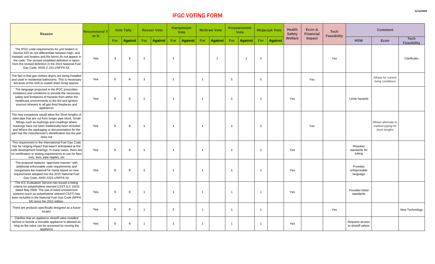| <b>Reason</b>                                                                                                                                                                                                                                                                                                                                   | <b>Recommend Y</b><br>or N |                 | <b>Vote Tally</b> |            | <b>Rosser Vote</b> |     | Kampmeyer<br><b>Vote</b> |     | <b>McGraw Vote</b> |            | <b>Krzyzanowski</b><br><b>Vote</b> |     | <b>Wojaczyk Vote</b> | <b>Health</b><br><b>Safety</b> | Econ &<br><b>Financial</b> | <b>Tech</b><br><b>Feasibility</b> |                                      | <b>Comment</b>                                            |                            |  |
|-------------------------------------------------------------------------------------------------------------------------------------------------------------------------------------------------------------------------------------------------------------------------------------------------------------------------------------------------|----------------------------|-----------------|-------------------|------------|--------------------|-----|--------------------------|-----|--------------------|------------|------------------------------------|-----|----------------------|--------------------------------|----------------------------|-----------------------------------|--------------------------------------|-----------------------------------------------------------|----------------------------|--|
|                                                                                                                                                                                                                                                                                                                                                 |                            | <b>For</b>      | <b>Against</b>    | <b>For</b> | <b>Against</b>     | For | <b>Against</b>           | For | <b>Against</b>     | <b>For</b> | <b>Against</b>                     | For | <b>Against</b>       | <b>Welfare</b>                 | <b>Impact</b>              |                                   | <b>HSW</b>                           | <b>Econ</b>                                               | <b>Tech</b><br>Feasibility |  |
| The IFGC code requirements for unit heaters in<br>Section 620 do not differentiate between high- and<br>lowstatic unit heaters and the terms do not appear in<br>the code. The revised simplified definition is taken<br>from the revised definition in the 2015 National Fuel<br>Gas Code, ANSI Z 223.1/NFPA 54.                               | Yes                        | $\mathbf{3}$    | $\overline{2}$    |            |                    |     |                          |     |                    |            |                                    |     |                      |                                |                            | Yes                               |                                      |                                                           | Clarificatio               |  |
| The fact is that gas clothes dryers are being installed<br>and used in residential bathrooms. This is necessary<br>because of the shift to scaled down living spaces.                                                                                                                                                                           | Yes                        | -5              | $\bf{0}$          |            |                    |     |                          |     |                    |            |                                    |     |                      |                                | Yes                        |                                   |                                      | Allows for current<br>living conditions                   |                            |  |
| The language proposed in the IFGC prescribes<br>limitations and conditions to provide the necessary<br>safety and limitations of hazards from within the<br>healthcare environments to the fire and ignition<br>sources inherent to all gas-fired fireplaces and<br>appliances                                                                  | Yes                        | -5              | $\bf{0}$          |            |                    |     |                          |     |                    |            |                                    |     |                      | Yes                            |                            |                                   | Limits hazards                       |                                                           |                            |  |
| The new exceptions would allow flor Short lengths of<br>steel pipe that are cut from longer pipe stock, Small<br>fittings such as bushings and couplings where<br>markings have not been traditionally been included<br>and Where the packaging or documentation for the<br>part has the manufacturer's identification but the part<br>does not | Yes                        | - 5             | $\bf{0}$          |            |                    |     |                          |     |                    |            |                                    |     |                      |                                | Yes                        |                                   |                                      | Allows alternate to<br>marked piping for<br>short lengths |                            |  |
| This requirement in the International Fuel Gas Code<br>has far ranging impact that wasn't anticipated at the<br>code development hearings. In many cases, there are<br>  no certification or testing requirements to use for flare  <br>nuts, tees, pipe nipples, etc                                                                           | Yes                        |                 | -0                |            |                    |     |                          |     |                    |            |                                    |     |                      | Yes                            |                            |                                   | Requires<br>standards for<br>tubing  |                                                           |                            |  |
| The proposal replaces "approved manner" with<br>additional enforceable code requirements and<br>reorganizes the material for clarity based on new<br>requirements adopted into the 2015 National Fuel<br>Gas Code, ANSI Z223.1/NFPA 54.                                                                                                         | Yes                        | $5\overline{5}$ | $\mathbf{0}$      |            |                    |     |                          |     |                    |            |                                    |     |                      | Yes                            |                            |                                   | Provides<br>enfoprceable<br>language |                                                           |                            |  |
| The ICC Evaluation Service has issued a listing<br>criteria for polyetrhylene sleeved CSST (LC 1023)<br>dated May 2009. The use of listed encasement<br>systems (such as polyethylene sleeved CSST) has<br>been included in the National Fuel Gas Code (NFPA<br>54) since the 2012 edition.                                                     | Yes                        |                 | -0                |            |                    |     |                          |     |                    |            |                                    |     |                      | Yes                            |                            |                                   | <b>Provides listed</b><br>standards  |                                                           |                            |  |
| There are products specifically designed as a tracer<br>locator                                                                                                                                                                                                                                                                                 | Yes                        |                 | $\mathbf{0}$      |            |                    |     |                          |     |                    |            |                                    |     |                      |                                |                            | Yes                               |                                      |                                                           | New Technology             |  |
| Clarifies that an appliance shutoff valve installed<br>behind or beside a movable appliance is allowed as<br>long as the valve can be accessed by moving the<br>appliance                                                                                                                                                                       | Yes                        |                 | $\bf{0}$          |            |                    |     |                          |     |                    |            |                                    |     |                      | Yes                            |                            |                                   | Requires access<br>to shutoff valves |                                                           |                            |  |